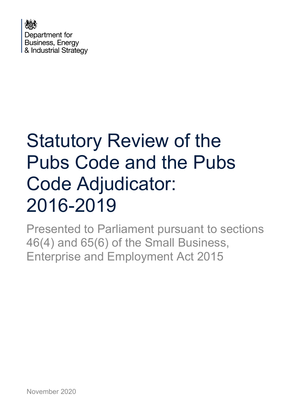

# Statutory Review of the Pubs Code and the Pubs Code Adjudicator: 2016-2019

Presented to Parliament pursuant to sections 46(4) and 65(6) of the Small Business, Enterprise and Employment Act 2015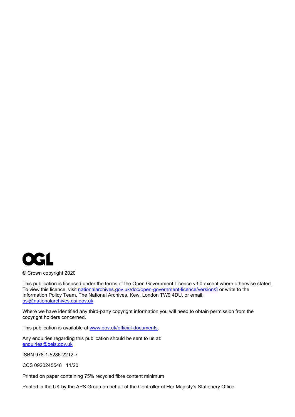

© Crown copyright 2020

This publication is licensed under the terms of the Open Government Licence v3.0 except where otherwise stated. To view this licence, visit [nationalarchives.gov.uk/doc/open-government-licence/version/3](http://nationalarchives.gov.uk/doc/open-government-licence/version/3/) or write to the Information Policy Team, The National Archives, Kew, London TW9 4DU, or email: [psi@nationalarchives.gsi.gov.uk.](mailto:psi@nationalarchives.gsi.gov.uk)

Where we have identified any third-party copyright information you will need to obtain permission from the copyright holders concerned.

This publication is available at [www.gov.uk/official-documents.](https://www.gov.uk/official-documents)

Any enquiries regarding this publication should be sent to us at: [enquiries@beis.gov.uk](mailto:enquiries@beis.gov.uk)

ISBN 978-1-5286-2212-7

CCS 0920245548 11/20

Printed on paper containing 75% recycled fibre content minimum

Printed in the UK by the APS Group on behalf of the Controller of Her Majesty's Stationery Office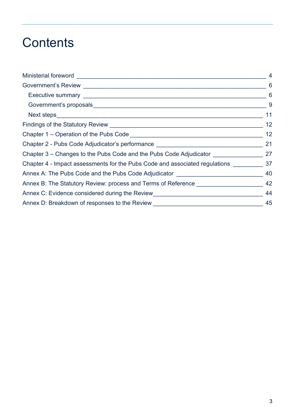## **Contents**

| Ministerial foreword _________________                                            | $\overline{4}$             |
|-----------------------------------------------------------------------------------|----------------------------|
|                                                                                   | 6                          |
|                                                                                   | $\overline{\phantom{0}}$ 6 |
|                                                                                   | $_{\rm g}$                 |
|                                                                                   | 11                         |
|                                                                                   | 12                         |
|                                                                                   | 12                         |
| Chapter 2 - Pubs Code Adjudicator's performance ________________________________  | 21                         |
| Chapter 3 – Changes to the Pubs Code and the Pubs Code Adjudicator                | 27                         |
| Chapter 4 - Impact assessments for the Pubs Code and associated regulations 37    |                            |
| Annex A: The Pubs Code and the Pubs Code Adjudicator ____________________________ | 40                         |
| Annex B: The Statutory Review: process and Terms of Reference                     | 42                         |
| Annex C: Evidence considered during the Review__________________________________  | 44                         |
| Annex D: Breakdown of responses to the Review __________________________________  | 45                         |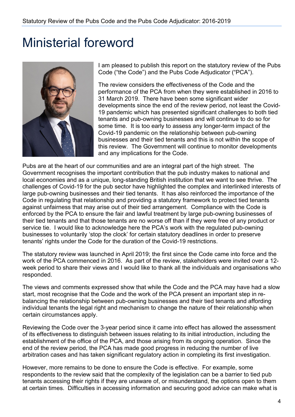## <span id="page-3-0"></span>Ministerial foreword



I am pleased to publish this report on the statutory review of the Pubs Code ("the Code") and the Pubs Code Adjudicator ("PCA").

The review considers the effectiveness of the Code and the performance of the PCA from when they were established in 2016 to 31 March 2019. There have been some significant wider developments since the end of the review period, not least the Covid-19 pandemic which has presented significant challenges to both tied tenants and pub-owning businesses and will continue to do so for some time. It is too early to assess any longer-term impact of the Covid-19 pandemic on the relationship between pub-owning businesses and their tied tenants and this is not within the scope of this review. The Government will continue to monitor developments and any implications for the Code.

Pubs are at the heart of our communities and are an integral part of the high street. The Government recognises the important contribution that the pub industry makes to national and local economies and as a unique, long-standing British institution that we want to see thrive. The challenges of Covid-19 for the pub sector have highlighted the complex and interlinked interests of large pub-owning businesses and their tied tenants. It has also reinforced the importance of the Code in regulating that relationship and providing a statutory framework to protect tied tenants against unfairness that may arise out of their tied arrangement. Compliance with the Code is enforced by the PCA to ensure the fair and lawful treatment by large pub-owning businesses of their tied tenants and that those tenants are no worse off than if they were free of any product or service tie. I would like to acknowledge here the PCA's work with the regulated pub-owning businesses to voluntarily 'stop the clock' for certain statutory deadlines in order to preserve tenants' rights under the Code for the duration of the Covid-19 restrictions.

The statutory review was launched in April 2019; the first since the Code came into force and the work of the PCA commenced in 2016. As part of the review, stakeholders were invited over a 12 week period to share their views and I would like to thank all the individuals and organisations who responded.

The views and comments expressed show that while the Code and the PCA may have had a slow start, most recognise that the Code and the work of the PCA present an important step in rebalancing the relationship between pub-owning businesses and their tied tenants and affording individual tenants the legal right and mechanism to change the nature of their relationship when certain circumstances apply.

Reviewing the Code over the 3-year period since it came into effect has allowed the assessment of its effectiveness to distinguish between issues relating to its initial introduction, including the establishment of the office of the PCA, and those arising from its ongoing operation. Since the end of the review period, the PCA has made good progress in reducing the number of live arbitration cases and has taken significant regulatory action in completing its first investigation.

However, more remains to be done to ensure the Code is effective. For example, some respondents to the review said that the complexity of the legislation can be a barrier to tied pub tenants accessing their rights if they are unaware of, or misunderstand, the options open to them at certain times. Difficulties in accessing information and securing good advice can make what is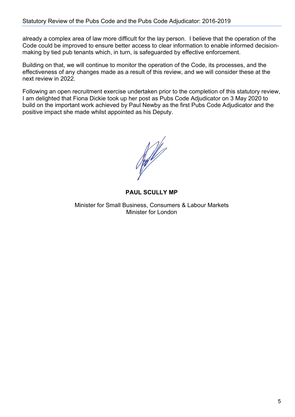already a complex area of law more difficult for the lay person. I believe that the operation of the Code could be improved to ensure better access to clear information to enable informed decisionmaking by tied pub tenants which, in turn, is safeguarded by effective enforcement.

Building on that, we will continue to monitor the operation of the Code, its processes, and the effectiveness of any changes made as a result of this review, and we will consider these at the next review in 2022.

Following an open recruitment exercise undertaken prior to the completion of this statutory review, I am delighted that Fiona Dickie took up her post as Pubs Code Adjudicator on 3 May 2020 to build on the important work achieved by Paul Newby as the first Pubs Code Adjudicator and the positive impact she made whilst appointed as his Deputy.

**Rolling Strategy** 

**PAUL SCULLY MP**

Minister for Small Business, Consumers & Labour Markets Minister for London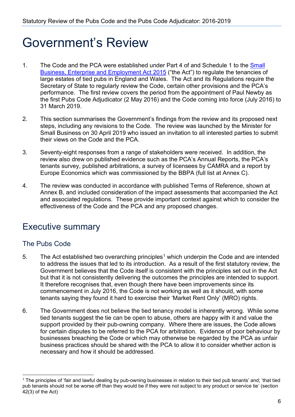## <span id="page-5-0"></span>Government's Review

- 1. The Code and the PCA were established under Part 4 of and Schedule 1 to the Small [Business, Enterprise and Employment Act 2015](http://www.legislation.gov.uk/ukpga/2015/26/contents/enacted) ("the Act") to regulate the tenancies of large estates of tied pubs in England and Wales. The Act and its Regulations require the Secretary of State to regularly review the Code, certain other provisions and the PCA's performance. The first review covers the period from the appointment of Paul Newby as the first Pubs Code Adjudicator (2 May 2016) and the Code coming into force (July 2016) to 31 March 2019.
- 2. This section summarises the Government's findings from the review and its proposed next steps, including any revisions to the Code. The review was launched by the Minister for Small Business on 30 April 2019 who issued an invitation to all interested parties to submit their views on the Code and the PCA.
- 3. Seventy-eight responses from a range of stakeholders were received. In addition, the review also drew on published evidence such as the PCA's Annual Reports, the PCA's tenants survey, published arbitrations, a survey of licensees by CAMRA and a report by Europe Economics which was commissioned by the BBPA (full list at Annex C).
- 4. The review was conducted in accordance with published Terms of Reference, shown at Annex B, and included consideration of the impact assessments that accompanied the Act and associated regulations. These provide important context against which to consider the effectiveness of the Code and the PCA and any proposed changes.

## <span id="page-5-1"></span>Executive summary

#### The Pubs Code

- 5. The Act established two overarching principles<sup>[1](#page-5-2)</sup> which underpin the Code and are intended to address the issues that led to its introduction. As a result of the first statutory review, the Government believes that the Code itself is consistent with the principles set out in the Act but that it is not consistently delivering the outcomes the principles are intended to support. It therefore recognises that, even though there have been improvements since its commencement in July 2016, the Code is not working as well as it should, with some tenants saying they found it hard to exercise their 'Market Rent Only' (MRO) rights.
- 6. The Government does not believe the tied tenancy model is inherently wrong. While some tied tenants suggest the tie can be open to abuse, others are happy with it and value the support provided by their pub-owning company. Where there are issues, the Code allows for certain disputes to be referred to the PCA for arbitration. Evidence of poor behaviour by businesses breaching the Code or which may otherwise be regarded by the PCA as unfair business practices should be shared with the PCA to allow it to consider whether action is necessary and how it should be addressed.

<span id="page-5-2"></span><sup>&</sup>lt;sup>1</sup> The principles of 'fair and lawful dealing by pub-owning businesses in relation to their tied pub tenants' and; 'that tied pub tenants should not be worse off than they would be if they were not subject to any product or service tie' (section 42(3) of the Act)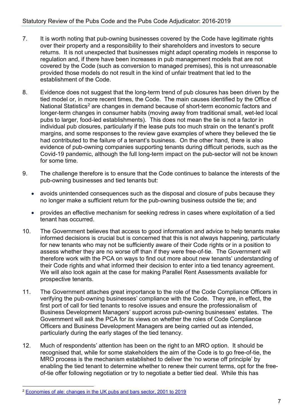- 7. It is worth noting that pub-owning businesses covered by the Code have legitimate rights over their property and a responsibility to their shareholders and investors to secure returns. It is not unexpected that businesses might adapt operating models in response to regulation and, if there have been increases in pub management models that are not covered by the Code (such as conversion to managed premises), this is not unreasonable provided those models do not result in the kind of unfair treatment that led to the establishment of the Code.
- 8. Evidence does not suggest that the long-term trend of pub closures has been driven by the tied model or, in more recent times, the Code. The main causes identified by the Office of National Statistics<sup>[2](#page-6-0)</sup> are changes in demand because of short-term economic factors and longer-term changes in consumer habits (moving away from traditional small, wet-led local pubs to larger, food-led establishments). This does not mean the tie is not a factor in individual pub closures, particularly if the lease puts too much strain on the tenant's profit margins, and some responses to the review gave examples of where they believed the tie had contributed to the failure of a tenant's business. On the other hand, there is also evidence of pub-owning companies supporting tenants during difficult periods, such as the Covid-19 pandemic, although the full long-term impact on the pub-sector will not be known for some time.
- 9. The challenge therefore is to ensure that the Code continues to balance the interests of the pub-owning businesses and tied tenants but:
	- avoids unintended consequences such as the disposal and closure of pubs because they no longer make a sufficient return for the pub-owning business outside the tie; and
	- provides an effective mechanism for seeking redress in cases where exploitation of a tied tenant has occurred.
- 10. The Government believes that access to good information and advice to help tenants make informed decisions is crucial but is concerned that this is not always happening, particularly for new tenants who may not be sufficiently aware of their Code rights or in a position to assess whether they are no worse off than if they were free-of-tie. The Government will therefore work with the PCA on ways to find out more about new tenants' understanding of their Code rights and what informed their decision to enter into a tied tenancy agreement. We will also look again at the case for making Parallel Rent Assessments available for prospective tenants.
- 11. The Government attaches great importance to the role of the Code Compliance Officers in verifying the pub-owning businesses' compliance with the Code. They are, in effect, the first port of call for tied tenants to resolve issues and ensure the professionalism of Business Development Managers' support across pub-owning businesses' estates. The Government will ask the PCA for its views on whether the roles of Code Compliance Officers and Business Development Managers are being carried out as intended, particularly during the early stages of the tied tenancy.
- 12. Much of respondents' attention has been on the right to an MRO option. It should be recognised that, while for some stakeholders the aim of the Code is to go free-of-tie, the MRO process is the mechanism established to deliver the 'no worse off principle' by enabling the tied tenant to determine whether to renew their current terms, opt for the freeof-tie offer following negotiation or try to negotiate a better tied deal. While this has

<span id="page-6-0"></span><sup>2</sup> [Economies of ale: changes in the UK pubs and bars sector, 2001 to 2019](https://www.ons.gov.uk/releases/beyondthepalechangesintheukpubsandbarssector2001to2019)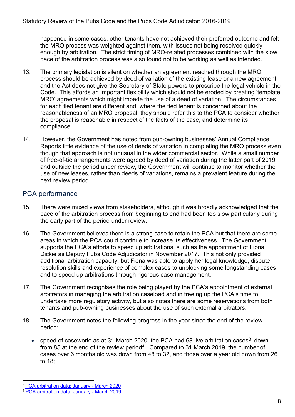happened in some cases, other tenants have not achieved their preferred outcome and felt the MRO process was weighted against them, with issues not being resolved quickly enough by arbitration. The strict timing of MRO-related processes combined with the slow pace of the arbitration process was also found not to be working as well as intended.

- 13. The primary legislation is silent on whether an agreement reached through the MRO process should be achieved by deed of variation of the existing lease or a new agreement and the Act does not give the Secretary of State powers to prescribe the legal vehicle in the Code. This affords an important flexibility which should not be eroded by creating 'template MRO' agreements which might impede the use of a deed of variation. The circumstances for each tied tenant are different and, where the tied tenant is concerned about the reasonableness of an MRO proposal, they should refer this to the PCA to consider whether the proposal is reasonable in respect of the facts of the case, and determine its compliance.
- 14. However, the Government has noted from pub-owning businesses' Annual Compliance Reports little evidence of the use of deeds of variation in completing the MRO process even though that approach is not unusual in the wider commercial sector. While a small number of free-of-tie arrangements were agreed by deed of variation during the latter part of 2019 and outside the period under review, the Government will continue to monitor whether the use of new leases, rather than deeds of variations, remains a prevalent feature during the next review period.

#### PCA performance

- 15. There were mixed views from stakeholders, although it was broadly acknowledged that the pace of the arbitration process from beginning to end had been too slow particularly during the early part of the period under review.
- 16. The Government believes there is a strong case to retain the PCA but that there are some areas in which the PCA could continue to increase its effectiveness. The Government supports the PCA's efforts to speed up arbitrations, such as the appointment of Fiona Dickie as Deputy Pubs Code Adjudicator in November 2017. This not only provided additional arbitration capacity, but Fiona was able to apply her legal knowledge, dispute resolution skills and experience of complex cases to unblocking some longstanding cases and to speed up arbitrations through rigorous case management.
- 17. The Government recognises the role being played by the PCA's appointment of external arbitrators in managing the arbitration caseload and in freeing up the PCA's time to undertake more regulatory activity, but also notes there are some reservations from both tenants and pub-owning businesses about the use of such external arbitrators.
- 18. The Government notes the following progress in the year since the end of the review period:
	- speed of casework: as at 31 March 2020, the PCA had 68 live arbitration cases<sup>3</sup>, down from 85 at the end of the review period<sup>4</sup>. Compared to 31 March 2019, the number of cases over 6 months old was down from 48 to 32, and those over a year old down from 26 to 18;

<span id="page-7-0"></span><sup>3</sup> [PCA arbitration data: January -](https://www.gov.uk/government/publications/pca-arbitration-data-january-march-2020) March 2020

<span id="page-7-1"></span><sup>4</sup> [PCA arbitration data: January -](https://www.gov.uk/government/publications/pca-arbitration-data-january-march-2019) March 2019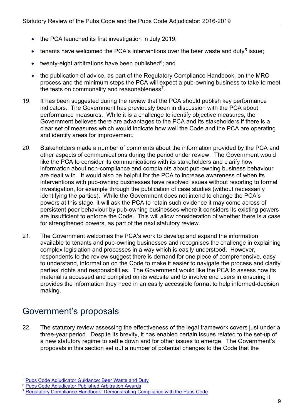- the PCA launched its first investigation in July 2019;
- tenants have welcomed the PCA's interventions over the beer waste and duty<sup>[5](#page-8-1)</sup> issue;
- twenty-eight arbitrations have been published $6$ ; and
- the publication of advice, as part of the Regulatory Compliance Handbook, on the MRO process and the minimum steps the PCA will expect a pub-owning business to take to meet the tests on commonality and reasonableness<sup>[7](#page-8-3)</sup>.
- 19. It has been suggested during the review that the PCA should publish key performance indicators. The Government has previously been in discussion with the PCA about performance measures. While it is a challenge to identify objective measures, the Government believes there are advantages to the PCA and its stakeholders if there is a clear set of measures which would indicate how well the Code and the PCA are operating and identify areas for improvement.
- 20. Stakeholders made a number of comments about the information provided by the PCA and other aspects of communications during the period under review. The Government would like the PCA to consider its communications with its stakeholders and clarify how information about non-compliance and complaints about pub-owning business behaviour are dealt with. It would also be helpful for the PCA to increase awareness of when its interventions with pub-owning businesses have resolved issues without resorting to formal investigation, for example through the publication of case studies (without necessarily identifying the parties). While the Government does not intend to change the PCA's powers at this stage, it will ask the PCA to retain such evidence it may come across of persistent poor behaviour by pub-owning businesses where it considers its existing powers are insufficient to enforce the Code. This will allow consideration of whether there is a case for strengthened powers, as part of the next statutory review.
- 21. The Government welcomes the PCA's work to develop and expand the information available to tenants and pub-owning businesses and recognises the challenge in explaining complex legislation and processes in a way which is easily understood. However, respondents to the review suggest there is demand for one piece of comprehensive, easy to understand, information on the Code to make it easier to navigate the process and clarify parties' rights and responsibilities. The Government would like the PCA to assess how its material is accessed and compiled on its website and to involve end users in ensuring it provides the information they need in an easily accessible format to help informed-decision making.

## <span id="page-8-0"></span>Government's proposals

22. The statutory review assessing the effectiveness of the legal framework covers just under a three-year period. Despite its brevity, it has enabled certain issues related to the set-up of a new statutory regime to settle down and for other issues to emerge. The Government's proposals in this section set out a number of potential changes to the Code that the

<span id="page-8-1"></span><sup>&</sup>lt;sup>5</sup> [Pubs Code Adjudicator Guidance: Beer Waste and Duty](https://www.gov.uk/government/publications/pubs-code-adjudicator-guidance-beer-waste-and-duty)

<span id="page-8-2"></span><sup>&</sup>lt;sup>6</sup> [Pubs Code Adjudicator Published Arbitration Awards](https://www.gov.uk/government/publications/pubs-code-adjudicator-published-arbitration-awards/pubs-code-adjudicator-published-arbitration-awards)

<span id="page-8-3"></span><sup>7</sup> [Regulatory Compliance Handbook: Demonstrating Compliance with the Pubs Code](https://www.gov.uk/government/publications/regulatory-compliance-handbook-market-rent-only-proposals)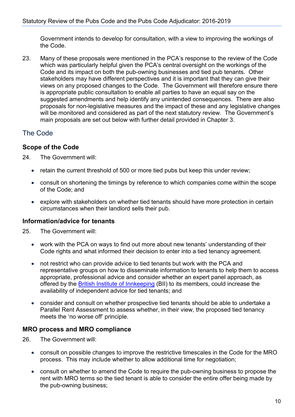Government intends to develop for consultation, with a view to improving the workings of the Code.

23. Many of these proposals were mentioned in the PCA's response to the review of the Code which was particularly helpful given the PCA's central oversight on the workings of the Code and its impact on both the pub-owning businesses and tied pub tenants. Other stakeholders may have different perspectives and it is important that they can give their views on any proposed changes to the Code. The Government will therefore ensure there is appropriate public consultation to enable all parties to have an equal say on the suggested amendments and help identify any unintended consequences. There are also proposals for non-legislative measures and the impact of these and any legislative changes will be monitored and considered as part of the next statutory review. The Government's main proposals are set out below with further detail provided in Chapter 3.

#### The Code

#### **Scope of the Code**

24 The Government will:

- retain the current threshold of 500 or more tied pubs but keep this under review;
- consult on shortening the timings by reference to which companies come within the scope of the Code; and
- explore with stakeholders on whether tied tenants should have more protection in certain circumstances when their landlord sells their pub.

#### **Information/advice for tenants**

25. The Government will:

- work with the PCA on ways to find out more about new tenants' understanding of their Code rights and what informed their decision to enter into a tied tenancy agreement.
- not restrict who can provide advice to tied tenants but work with the PCA and representative groups on how to disseminate information to tenants to help them to access appropriate, professional advice and consider whether an expert panel approach, as offered by the [British Institute of Innkeeping](https://www.bii.org/) (BII) to its members, could increase the availability of independent advice for tied tenants; and
- consider and consult on whether prospective tied tenants should be able to undertake a Parallel Rent Assessment to assess whether, in their view, the proposed tied tenancy meets the 'no worse off' principle.

#### **MRO process and MRO compliance**

- 26. The Government will:
	- consult on possible changes to improve the restrictive timescales in the Code for the MRO process. This may include whether to allow additional time for negotiation;
	- consult on whether to amend the Code to require the pub-owning business to propose the rent with MRO terms so the tied tenant is able to consider the entire offer being made by the pub-owning business;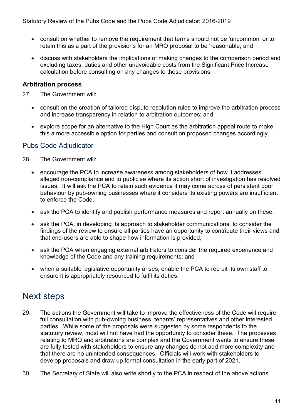- consult on whether to remove the requirement that terms should not be 'uncommon' or to retain this as a part of the provisions for an MRO proposal to be 'reasonable; and
- discuss with stakeholders the implications of making changes to the comparison period and excluding taxes, duties and other unavoidable costs from the Significant Price Increase calculation before consulting on any changes to those provisions.

#### **Arbitration process**

27. The Government will:

- consult on the creation of tailored dispute resolution rules to improve the arbitration process and increase transparency in relation to arbitration outcomes; and
- explore scope for an alternative to the High Court as the arbitration appeal route to make this a more accessible option for parties and consult on proposed changes accordingly.

#### Pubs Code Adjudicator

- 28. The Government will:
	- encourage the PCA to increase awareness among stakeholders of how it addresses alleged non-compliance and to publicise where its action short of investigation has resolved issues. It will ask the PCA to retain such evidence it may come across of persistent poor behaviour by pub-owning businesses where it considers its existing powers are insufficient to enforce the Code.
	- ask the PCA to identify and publish performance measures and report annually on these;
	- ask the PCA, in developing its approach to stakeholder communications, to consider the findings of the review to ensure all parties have an opportunity to contribute their views and that end-users are able to shape how information is provided;
	- ask the PCA when engaging external arbitrators to consider the required experience and knowledge of the Code and any training requirements; and
	- when a suitable legislative opportunity arises, enable the PCA to recruit its own staff to ensure it is appropriately resourced to fulfil its duties.

## <span id="page-10-0"></span>Next steps

- 29. The actions the Government will take to improve the effectiveness of the Code will require full consultation with pub-owning business, tenants' representatives and other interested parties. While some of the proposals were suggested by some respondents to the statutory review, most will not have had the opportunity to consider these. The processes relating to MRO and arbitrations are complex and the Government wants to ensure these are fully tested with stakeholders to ensure any changes do not add more complexity and that there are no unintended consequences. Officials will work with stakeholders to develop proposals and draw up formal consultation in the early part of 2021.
- 30. The Secretary of State will also write shortly to the PCA in respect of the above actions.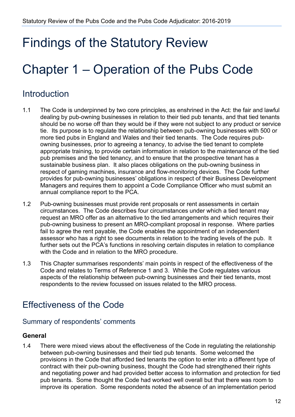## <span id="page-11-0"></span>Findings of the Statutory Review

## <span id="page-11-1"></span>Chapter 1 – Operation of the Pubs Code

## Introduction

- 1.1 The Code is underpinned by two core principles, as enshrined in the Act: the fair and lawful dealing by pub-owning businesses in relation to their tied pub tenants, and that tied tenants should be no worse off than they would be if they were not subject to any product or service tie. Its purpose is to regulate the relationship between pub-owning businesses with 500 or more tied pubs in England and Wales and their tied tenants. The Code requires pubowning businesses, prior to agreeing a tenancy, to advise the tied tenant to complete appropriate training, to provide certain information in relation to the maintenance of the tied pub premises and the tied tenancy, and to ensure that the prospective tenant has a sustainable business plan. It also places obligations on the pub-owning business in respect of gaming machines, insurance and flow-monitoring devices. The Code further provides for pub-owning businesses' obligations in respect of their Business Development Managers and requires them to appoint a Code Compliance Officer who must submit an annual compliance report to the PCA.
- 1.2 Pub-owning businesses must provide rent proposals or rent assessments in certain circumstances. The Code describes four circumstances under which a tied tenant may request an MRO offer as an alternative to the tied arrangements and which requires their pub-owning business to present an MRO-compliant proposal in response. Where parties fail to agree the rent payable, the Code enables the appointment of an independent assessor who has a right to see documents in relation to the trading levels of the pub. It further sets out the PCA's functions in resolving certain disputes in relation to compliance with the Code and in relation to the MRO procedure.
- 1.3 This Chapter summarises respondents' main points in respect of the effectiveness of the Code and relates to Terms of Reference 1 and 3. While the Code regulates various aspects of the relationship between pub-owning businesses and their tied tenants, most respondents to the review focussed on issues related to the MRO process.

## Effectiveness of the Code

#### Summary of respondents' comments

#### **General**

1.4 There were mixed views about the effectiveness of the Code in regulating the relationship between pub-owning businesses and their tied pub tenants. Some welcomed the provisions in the Code that afforded tied tenants the option to enter into a different type of contract with their pub-owning business, thought the Code had strengthened their rights and negotiating power and had provided better access to information and protection for tied pub tenants. Some thought the Code had worked well overall but that there was room to improve its operation. Some respondents noted the absence of an implementation period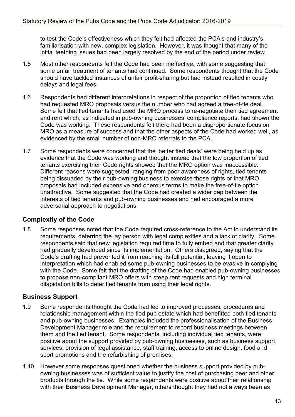to test the Code's effectiveness which they felt had affected the PCA's and industry's familiarisation with new, complex legislation. However, it was thought that many of the initial teething issues had been largely resolved by the end of the period under review.

- 1.5 Most other respondents felt the Code had been ineffective, with some suggesting that some unfair treatment of tenants had continued. Some respondents thought that the Code should have tackled instances of unfair profit-sharing but had instead resulted in costly delays and legal fees.
- 1.6 Respondents had different interpretations in respect of the proportion of tied tenants who had requested MRO proposals versus the number who had agreed a free-of-tie deal. Some felt that tied tenants had used the MRO process to re-negotiate their tied agreement and rent which, as indicated in pub-owning businesses' compliance reports, had shown the Code was working. These respondents felt there had been a disproportionate focus on MRO as a measure of success and that the other aspects of the Code had worked well, as evidenced by the small number of non-MRO referrals to the PCA.
- 1.7 Some respondents were concerned that the 'better tied deals' were being held up as evidence that the Code was working and thought instead that the low proportion of tied tenants exercising their Code rights showed that the MRO option was inaccessible. Different reasons were suggested, ranging from poor awareness of rights, tied tenants being dissuaded by their pub-owning business to exercise those rights or that MRO proposals had included expensive and onerous terms to make the free-of-tie option unattractive. Some suggested that the Code had created a wider gap between the interests of tied tenants and pub-owning businesses and had encouraged a more adversarial approach to negotiations.

#### **Complexity of the Code**

1.8 Some responses noted that the Code required cross-reference to the Act to understand its requirements, deterring the lay person with legal complexities and a lack of clarity. Some respondents said that new legislation required time to fully embed and that greater clarity had gradually developed since its implementation. Others disagreed, saying that the Code's drafting had prevented it from reaching its full potential, leaving it open to interpretation which had enabled some pub-owning businesses to be evasive in complying with the Code. Some felt that the drafting of the Code had enabled pub-owning businesses to propose non-compliant MRO offers with steep rent requests and high terminal dilapidation bills to deter tied tenants from using their legal rights.

#### **Business Support**

- 1.9 Some respondents thought the Code had led to improved processes, procedures and relationship management within the tied pub estate which had benefitted both tied tenants and pub-owning businesses. Examples included the professionalisation of the Business Development Manager role and the requirement to record business meetings between them and the tied tenant. Some respondents, including individual tied tenants, were positive about the support provided by pub-owning businesses, such as business support services, provision of legal assistance, staff training, access to online design, food and sport promotions and the refurbishing of premises.
- 1.10 However some responses questioned whether the business support provided by pubowning businesses was of sufficient value to justify the cost of purchasing beer and other products through the tie. While some respondents were positive about their relationship with their Business Development Manager, others thought they had not always been as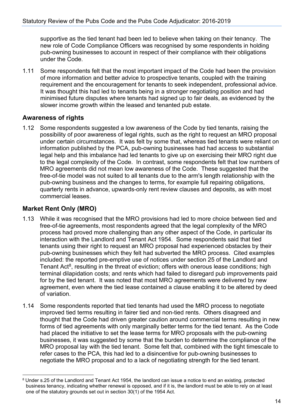supportive as the tied tenant had been led to believe when taking on their tenancy. The new role of Code Compliance Officers was recognised by some respondents in holding pub-owning businesses to account in respect of their compliance with their obligations under the Code.

1.11 Some respondents felt that the most important impact of the Code had been the provision of more information and better advice to prospective tenants, coupled with the training requirement and the encouragement for tenants to seek independent, professional advice. It was thought this had led to tenants being in a stronger negotiating position and had minimised future disputes where tenants had signed up to fair deals, as evidenced by the slower income growth within the leased and tenanted pub estate.

#### **Awareness of rights**

1.12 Some respondents suggested a low awareness of the Code by tied tenants, raising the possibility of poor awareness of legal rights, such as the right to request an MRO proposal under certain circumstances. It was felt by some that, whereas tied tenants were reliant on information published by the PCA, pub-owning businesses had had access to substantial legal help and this imbalance had led tenants to give up on exercising their MRO right due to the legal complexity of the Code. In contrast, some respondents felt that low numbers of MRO agreements did not mean low awareness of the Code. These suggested that the free-of-tie model was not suited to all tenants due to the arm's length relationship with the pub-owning business and the changes to terms, for example full repairing obligations, quarterly rents in advance, upwards-only rent review clauses and deposits, as with most commercial leases.

#### **Market Rent Only (MRO)**

- 1.13 While it was recognised that the MRO provisions had led to more choice between tied and free-of-tie agreements, most respondents agreed that the legal complexity of the MRO process had proved more challenging than any other aspect of the Code, in particular its interaction with the Landlord and Tenant Act 1954. Some respondents said that tied tenants using their right to request an MRO proposal had experienced obstacles by their pub-owning businesses which they felt had subverted the MRO process. Cited examples included: the reported pre-emptive use of notices under section 25 of the Landlord and Tenant Act<sup>8</sup>, resulting in the threat of eviction; offers with onerous lease conditions; high terminal dilapidation costs; and rents which had failed to disregard pub improvements paid for by the tied tenant. It was noted that most MRO agreements were delivered by new agreement, even where the tied lease contained a clause enabling it to be altered by deed of variation.
- 1.14 Some respondents reported that tied tenants had used the MRO process to negotiate improved tied terms resulting in fairer tied and non-tied rents. Others disagreed and thought that the Code had driven greater caution around commercial terms resulting in new forms of tied agreements with only marginally better terms for the tied tenant. As the Code had placed the initiative to set the lease terms for MRO proposals with the pub-owning businesses, it was suggested by some that the burden to determine the compliance of the MRO proposal lay with the tied tenant. Some felt that, combined with the tight timescale to refer cases to the PCA, this had led to a disincentive for pub-owning businesses to negotiate the MRO proposal and to a lack of negotiating strength for the tied tenant.

<span id="page-13-0"></span><sup>8</sup> Under s.25 of the Landlord and Tenant Act 1954, the landlord can issue a notice to end an existing, protected business tenancy, indicating whether renewal is opposed, and if it is, the landlord must be able to rely on at least one of the statutory grounds set out in section 30(1) of the 1954 Act.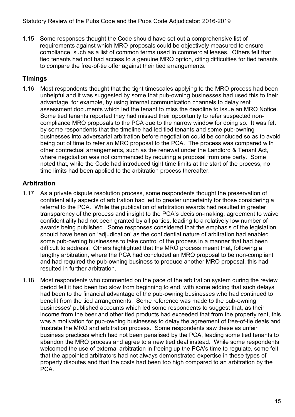1.15 Some responses thought the Code should have set out a comprehensive list of requirements against which MRO proposals could be objectively measured to ensure compliance, such as a list of common terms used in commercial leases. Others felt that tied tenants had not had access to a genuine MRO option, citing difficulties for tied tenants to compare the free-of-tie offer against their tied arrangements.

#### **Timings**

1.16 Most respondents thought that the tight timescales applying to the MRO process had been unhelpful and it was suggested by some that pub-owning businesses had used this to their advantage, for example, by using internal communication channels to delay rent assessment documents which led the tenant to miss the deadline to issue an MRO Notice. Some tied tenants reported they had missed their opportunity to refer suspected noncompliance MRO proposals to the PCA due to the narrow window for doing so. It was felt by some respondents that the timeline had led tied tenants and some pub-owning businesses into adversarial arbitration before negotiation could be concluded so as to avoid being out of time to refer an MRO proposal to the PCA. The process was compared with other contractual arrangements, such as the renewal under the Landlord & Tenant Act, where negotiation was not commenced by requiring a proposal from one party. Some noted that, while the Code had introduced tight time limits at the start of the process, no time limits had been applied to the arbitration process thereafter.

#### **Arbitration**

- 1.17 As a private dispute resolution process, some respondents thought the preservation of confidentiality aspects of arbitration had led to greater uncertainty for those considering a referral to the PCA. While the publication of arbitration awards had resulted in greater transparency of the process and insight to the PCA's decision-making, agreement to waive confidentiality had not been granted by all parties, leading to a relatively low number of awards being published. Some responses considered that the emphasis of the legislation should have been on 'adjudication' as the confidential nature of arbitration had enabled some pub-owning businesses to take control of the process in a manner that had been difficult to address. Others highlighted that the MRO process meant that, following a lengthy arbitration, where the PCA had concluded an MRO proposal to be non-compliant and had required the pub-owning business to produce another MRO proposal, this had resulted in further arbitration.
- 1.18 Most respondents who commented on the pace of the arbitration system during the review period felt it had been too slow from beginning to end, with some adding that such delays had been to the financial advantage of the pub-owning businesses who had continued to benefit from the tied arrangements. Some reference was made to the pub-owning businesses' published accounts which led some respondents to suggest that, as their income from the beer and other tied products had exceeded that from the property rent, this was a motivation for pub-owning businesses to delay the agreement of free-of-tie deals and frustrate the MRO and arbitration process. Some respondents saw these as unfair business practices which had not been penalised by the PCA, leading some tied tenants to abandon the MRO process and agree to a new tied deal instead. While some respondents welcomed the use of external arbitration in freeing up the PCA's time to regulate, some felt that the appointed arbitrators had not always demonstrated expertise in these types of property disputes and that the costs had been too high compared to an arbitration by the PCA.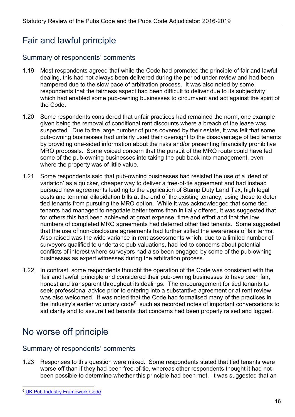## Fair and lawful principle

#### Summary of respondents' comments

- 1.19 Most respondents agreed that while the Code had promoted the principle of fair and lawful dealing, this had not always been delivered during the period under review and had been hampered due to the slow pace of arbitration process. It was also noted by some respondents that the fairness aspect had been difficult to deliver due to its subjectivity which had enabled some pub-owning businesses to circumvent and act against the spirit of the Code.
- 1.20 Some respondents considered that unfair practices had remained the norm, one example given being the removal of conditional rent discounts where a breach of the lease was suspected. Due to the large number of pubs covered by their estate, it was felt that some pub-owning businesses had unfairly used their oversight to the disadvantage of tied tenants by providing one-sided information about the risks and/or presenting financially prohibitive MRO proposals. Some voiced concern that the pursuit of the MRO route could have led some of the pub-owning businesses into taking the pub back into management, even where the property was of little value.
- 1.21 Some respondents said that pub-owning businesses had resisted the use of a 'deed of variation' as a quicker, cheaper way to deliver a free-of-tie agreement and had instead pursued new agreements leading to the application of Stamp Duty Land Tax, high legal costs and terminal dilapidation bills at the end of the existing tenancy, using these to deter tied tenants from pursuing the MRO option. While it was acknowledged that some tied tenants had managed to negotiate better terms than initially offered, it was suggested that for others this had been achieved at great expense, time and effort and that the low numbers of completed MRO agreements had deterred other tied tenants. Some suggested that the use of non-disclosure agreements had further stifled the awareness of fair terms. Also raised was the wide variance in rent assessments which, due to a limited number of surveyors qualified to undertake pub valuations, had led to concerns about potential conflicts of interest where surveyors had also been engaged by some of the pub-owning businesses as expert witnesses during the arbitration process.
- 1.22 In contrast, some respondents thought the operation of the Code was consistent with the 'fair and lawful' principle and considered their pub-owning businesses to have been fair, honest and transparent throughout its dealings. The encouragement for tied tenants to seek professional advice prior to entering into a substantive agreement or at rent review was also welcomed. It was noted that the Code had formalised many of the practices in the industry's earlier voluntary code $9$ , such as recorded notes of important conversations to aid clarity and to assure tied tenants that concerns had been properly raised and logged.

## No worse off principle

#### Summary of respondents' comments

1.23 Responses to this question were mixed. Some respondents stated that tied tenants were worse off than if they had been free-of-tie, whereas other respondents thought it had not been possible to determine whether this principle had been met. It was suggested that an

<span id="page-15-0"></span><sup>9</sup> [UK Pub Industry Framework Code](https://flva.co.uk/wp-content/themes/flva/pdf/BBPA-V6-feb-13.pdf)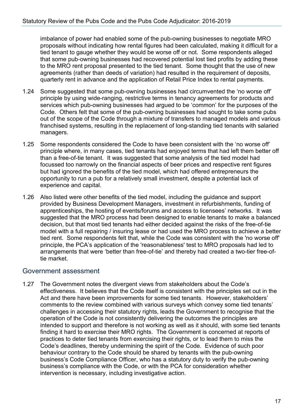imbalance of power had enabled some of the pub-owning businesses to negotiate MRO proposals without indicating how rental figures had been calculated, making it difficult for a tied tenant to gauge whether they would be worse off or not. Some respondents alleged that some pub-owning businesses had recovered potential lost tied profits by adding these to the MRO rent proposal presented to the tied tenant. Some thought that the use of new agreements (rather than deeds of variation) had resulted in the requirement of deposits, quarterly rent in advance and the application of Retail Price Index to rental payments.

- 1.24 Some suggested that some pub-owning businesses had circumvented the 'no worse off' principle by using wide-ranging, restrictive terms in tenancy agreements for products and services which pub-owning businesses had argued to be 'common' for the purposes of the Code. Others felt that some of the pub-owning businesses had sought to take some pubs out of the scope of the Code through a mixture of transfers to managed models and various franchised systems, resulting in the replacement of long-standing tied tenants with salaried managers.
- 1.25 Some respondents considered the Code to have been consistent with the 'no worse off' principle where, in many cases, tied tenants had enjoyed terms that had left them better off than a free-of-tie tenant. It was suggested that some analysis of the tied model had focussed too narrowly on the financial aspects of beer prices and respective rent figures but had ignored the benefits of the tied model, which had offered entrepreneurs the opportunity to run a pub for a relatively small investment, despite a potential lack of experience and capital.
- 1.26 Also listed were other benefits of the tied model, including the guidance and support provided by Business Development Managers, investment in refurbishments, funding of apprenticeships, the hosting of events/forums and access to licensees' networks. It was suggested that the MRO process had been designed to enable tenants to make a balanced decision, but that most tied tenants had either decided against the risks of the free-of-tie model with a full repairing / insuring lease or had used the MRO process to achieve a better tied rent. Some respondents felt that, while the Code was consistent with the 'no worse off' principle, the PCA's application of the 'reasonableness' test to MRO proposals had led to arrangements that were 'better than free-of-tie' and thereby had created a two-tier free-oftie market.

#### Government assessment

1.27 The Government notes the divergent views from stakeholders about the Code's effectiveness. It believes that the Code itself is consistent with the principles set out in the Act and there have been improvements for some tied tenants. However, stakeholders' comments to the review combined with various surveys which convey some tied tenants' challenges in accessing their statutory rights, leads the Government to recognise that the operation of the Code is not consistently delivering the outcomes the principles are intended to support and therefore is not working as well as it should, with some tied tenants finding it hard to exercise their MRO rights. The Government is concerned at reports of practices to deter tied tenants from exercising their rights, or to lead them to miss the Code's deadlines, thereby undermining the spirit of the Code. Evidence of such poor behaviour contrary to the Code should be shared by tenants with the pub-owning business's Code Compliance Officer, who has a statutory duty to verify the pub-owning business's compliance with the Code, or with the PCA for consideration whether intervention is necessary, including investigative action.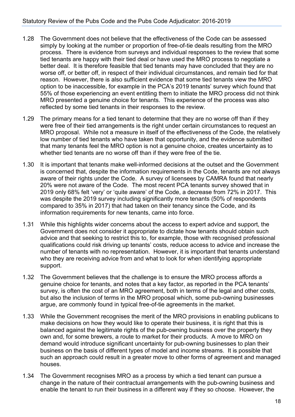- 1.28 The Government does not believe that the effectiveness of the Code can be assessed simply by looking at the number or proportion of free-of-tie deals resulting from the MRO process. There is evidence from surveys and individual responses to the review that some tied tenants are happy with their tied deal or have used the MRO process to negotiate a better deal. It is therefore feasible that tied tenants may have concluded that they are no worse off, or better off, in respect of their individual circumstances, and remain tied for that reason. However, there is also sufficient evidence that some tied tenants view the MRO option to be inaccessible, for example in the PCA's 2019 tenants' survey which found that 55% of those experiencing an event entitling them to initiate the MRO process did not think MRO presented a genuine choice for tenants. This experience of the process was also reflected by some tied tenants in their responses to the review.
- 1.29 The primary means for a tied tenant to determine that they are no worse off than if they were free of their tied arrangements is the right under certain circumstances to request an MRO proposal. While not a measure in itself of the effectiveness of the Code, the relatively low number of tied tenants who have taken that opportunity, and the evidence submitted that many tenants feel the MRO option is not a genuine choice, creates uncertainty as to whether tied tenants are no worse off than if they were free of the tie.
- 1.30 It is important that tenants make well-informed decisions at the outset and the Government is concerned that, despite the information requirements in the Code, tenants are not always aware of their rights under the Code. A survey of licensees by CAMRA found that nearly 20% were not aware of the Code. The most recent PCA tenants survey showed that in 2019 only 68% felt 'very' or 'quite aware' of the Code, a decrease from 72% in 2017. This was despite the 2019 survey including significantly more tenants (50% of respondents compared to 35% in 2017) that had taken on their tenancy since the Code, and its information requirements for new tenants, came into force.
- 1.31 While this highlights wider concerns about the access to expert advice and support, the Government does not consider it appropriate to dictate how tenants should obtain such advice and that seeking to restrict this to, for example, those with recognised professional qualifications could risk driving up tenants' costs, reduce access to advice and increase the number of tenants with no representation. However, it is important that tenants understand who they are receiving advice from and what to look for when identifying appropriate support.
- 1.32 The Government believes that the challenge is to ensure the MRO process affords a genuine choice for tenants, and notes that a key factor, as reported in the PCA tenants' survey, is often the cost of an MRO agreement, both in terms of the legal and other costs, but also the inclusion of terms in the MRO proposal which, some pub-owning businesses argue, are commonly found in typical free-of-tie agreements in the market.
- 1.33 While the Government recognises the merit of the MRO provisions in enabling publicans to make decisions on how they would like to operate their business, it is right that this is balanced against the legitimate rights of the pub-owning business over the property they own and, for some brewers, a route to market for their products. A move to MRO on demand would introduce significant uncertainty for pub-owning businesses to plan their business on the basis of different types of model and income streams. It is possible that such an approach could result in a greater move to other forms of agreement and managed houses.
- 1.34 The Government recognises MRO as a process by which a tied tenant can pursue a change in the nature of their contractual arrangements with the pub-owning business and enable the tenant to run their business in a different way if they so choose. However, the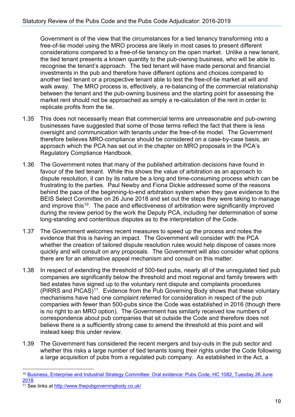Government is of the view that the circumstances for a tied tenancy transforming into a free-of-tie model using the MRO process are likely in most cases to present different considerations compared to a free-of-tie tenancy on the open market. Unlike a new tenant, the tied tenant presents a known quantity to the pub-owning business, who will be able to recognise the tenant's approach. The tied tenant will have made personal and financial investments in the pub and therefore have different options and choices compared to another tied tenant or a prospective tenant able to test the free-of-tie market at will and walk away. The MRO process is, effectively, a re-balancing of the commercial relationship between the tenant and the pub-owning business and the starting point for assessing the market rent should not be approached as simply a re-calculation of the rent in order to replicate profits from the tie.

- 1.35 This does not necessarily mean that commercial terms are unreasonable and pub-owning businesses have suggested that some of those terms reflect the fact that there is less oversight and communication with tenants under the free-of-tie model. The Government therefore believes MRO-compliance should be considered on a case-by-case basis, an approach which the PCA has set out in the chapter on MRO proposals in the PCA's Regulatory Compliance Handbook.
- 1.36 The Government notes that many of the published arbitration decisions have found in favour of the tied tenant. While this shows the value of arbitration as an approach to dispute resolution, it can by its nature be a long and time-consuming process which can be frustrating to the parties. Paul Newby and Fiona Dickie addressed some of the reasons behind the pace of the beginning-to-end arbitration system when they gave evidence to the BEIS Select Committee on 26 June 2018 and set out the steps they were taking to manage and improve this<sup>10</sup>. The pace and effectiveness of arbitration were significantly improved during the review period by the work the Deputy PCA, including her determination of some long-standing and contentious disputes as to the interpretation of the Code.
- 1.37 The Government welcomes recent measures to speed up the process and notes the evidence that this is having an impact. The Government will consider with the PCA whether the creation of tailored dispute resolution rules would help dispose of cases more quickly and will consult on any proposals. The Government will also consider what options there are for an alternative appeal mechanism and consult on this matter.
- 1.38 In respect of extending the threshold of 500-tied pubs, nearly all of the unregulated tied pub companies are significantly below the threshold and most regional and family brewers with tied estates have signed up to the voluntary rent dispute and complaints procedures  $(PIRRS and PICAS)<sup>11</sup>$  $(PIRRS and PICAS)<sup>11</sup>$  $(PIRRS and PICAS)<sup>11</sup>$ . Evidence from the Pub Governing Body shows that these voluntary mechanisms have had one complaint referred for consideration in respect of the pub companies with fewer than 500-pubs since the Code was established in 2016 (though there is no right to an MRO option). The Government has similarly received low numbers of correspondence about pub companies that sit outside the Code and therefore does not believe there is a sufficiently strong case to amend the threshold at this point and will instead keep this under review.
- 1.39 The Government has considered the recent mergers and buy-outs in the pub sector and whether this risks a large number of tied tenants losing their rights under the Code following a large acquisition of pubs from a regulated pub company. As established in the Act, a

<span id="page-18-0"></span><sup>10</sup> [Business, Enterprise and Industrial Strategy Committee: Oral evidence: Pubs Code, HC 1082, Tuesday 26 June](http://data.parliament.uk/writtenevidence/committeeevidence.svc/evidencedocument/business-energy-and-industrial-strategy-committee/pubs-code-adjudicator-update/oral/86102.html)  [2018](http://data.parliament.uk/writtenevidence/committeeevidence.svc/evidencedocument/business-energy-and-industrial-strategy-committee/pubs-code-adjudicator-update/oral/86102.html) 

<span id="page-18-1"></span><sup>11</sup> See links at<http://www.thepubgoverningbody.co.uk/>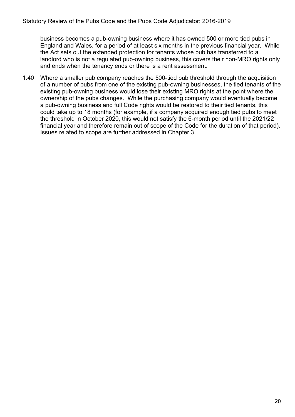business becomes a pub-owning business where it has owned 500 or more tied pubs in England and Wales, for a period of at least six months in the previous financial year. While the Act sets out the extended protection for tenants whose pub has transferred to a landlord who is not a regulated pub-owning business, this covers their non-MRO rights only and ends when the tenancy ends or there is a rent assessment.

1.40 Where a smaller pub company reaches the 500-tied pub threshold through the acquisition of a number of pubs from one of the existing pub-owning businesses, the tied tenants of the existing pub-owning business would lose their existing MRO rights at the point where the ownership of the pubs changes. While the purchasing company would eventually become a pub-owning business and full Code rights would be restored to their tied tenants, this could take up to 18 months (for example, if a company acquired enough tied pubs to meet the threshold in October 2020, this would not satisfy the 6-month period until the 2021/22 financial year and therefore remain out of scope of the Code for the duration of that period). Issues related to scope are further addressed in Chapter 3.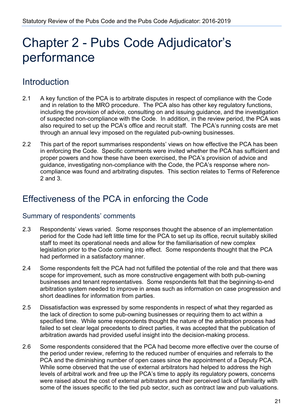## <span id="page-20-0"></span>Chapter 2 - Pubs Code Adjudicator's performance

## Introduction

- 2.1 A key function of the PCA is to arbitrate disputes in respect of compliance with the Code and in relation to the MRO procedure. The PCA also has other key regulatory functions, including the provision of advice, consulting on and issuing guidance, and the investigation of suspected non-compliance with the Code. In addition, in the review period, the PCA was also required to set up the PCA's office and recruit staff. The PCA's running costs are met through an annual levy imposed on the regulated pub-owning businesses.
- 2.2 This part of the report summarises respondents' views on how effective the PCA has been in enforcing the Code. Specific comments were invited whether the PCA has sufficient and proper powers and how these have been exercised, the PCA's provision of advice and guidance, investigating non-compliance with the Code, the PCA's response where noncompliance was found and arbitrating disputes. This section relates to Terms of Reference 2 and 3.

### Effectiveness of the PCA in enforcing the Code

#### Summary of respondents' comments

- 2.3 Respondents' views varied. Some responses thought the absence of an implementation period for the Code had left little time for the PCA to set up its office, recruit suitably skilled staff to meet its operational needs and allow for the familiarisation of new complex legislation prior to the Code coming into effect. Some respondents thought that the PCA had performed in a satisfactory manner.
- 2.4 Some respondents felt the PCA had not fulfilled the potential of the role and that there was scope for improvement, such as more constructive engagement with both pub-owning businesses and tenant representatives. Some respondents felt that the beginning-to-end arbitration system needed to improve in areas such as information on case progression and short deadlines for information from parties.
- 2.5 Dissatisfaction was expressed by some respondents in respect of what they regarded as the lack of direction to some pub-owning businesses or requiring them to act within a specified time. While some respondents thought the nature of the arbitration process had failed to set clear legal precedents to direct parties, it was accepted that the publication of arbitration awards had provided useful insight into the decision-making process.
- 2.6 Some respondents considered that the PCA had become more effective over the course of the period under review, referring to the reduced number of enquiries and referrals to the PCA and the diminishing number of open cases since the appointment of a Deputy PCA. While some observed that the use of external arbitrators had helped to address the high levels of arbitral work and free up the PCA's time to apply its regulatory powers, concerns were raised about the cost of external arbitrators and their perceived lack of familiarity with some of the issues specific to the tied pub sector, such as contract law and pub valuations.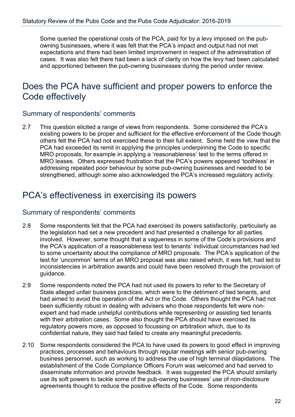Some queried the operational costs of the PCA, paid for by a levy imposed on the pubowning businesses, where it was felt that the PCA's impact and output had not met expectations and there had been limited improvement in respect of the administration of cases. It was also felt there had been a lack of clarity on how the levy had been calculated and apportioned between the pub-owning businesses during the period under review.

### Does the PCA have sufficient and proper powers to enforce the Code effectively

#### Summary of respondents' comments

2.7 This question elicited a range of views from respondents. Some considered the PCA's existing powers to be proper and sufficient for the effective enforcement of the Code though others felt the PCA had not exercised these to their full extent. Some held the view that the PCA had exceeded its remit in applying the principles underpinning the Code to specific MRO proposals, for example in applying a 'reasonableness' test to the terms offered in MRO leases. Others expressed frustration that the PCA's powers appeared 'toothless' in addressing repeated poor behaviour by some pub-owning businesses and needed to be strengthened, although some also acknowledged the PCA's increased regulatory activity.

### PCA's effectiveness in exercising its powers

#### Summary of respondents' comments

- 2.8 Some respondents felt that the PCA had exercised its powers satisfactorily, particularly as the legislation had set a new precedent and had presented a challenge for all parties involved. However, some thought that a vagueness in some of the Code's provisions and the PCA's application of a reasonableness test to tenants' individual circumstances had led to some uncertainty about the compliance of MRO proposals. The PCA's application of the test for 'uncommon' terms of an MRO proposal was also raised which, it was felt, had led to inconsistencies in arbitration awards and could have been resolved through the provision of guidance.
- 2.9 Some respondents noted the PCA had not used its powers to refer to the Secretary of State alleged unfair business practices, which were to the detriment of tied tenants, and had aimed to avoid the operation of the Act or the Code. Others thought the PCA had not been sufficiently robust in dealing with advisers who those respondents felt were nonexpert and had made unhelpful contributions while representing or assisting tied tenants with their arbitration cases. Some also thought the PCA should have exercised its regulatory powers more, as opposed to focussing on arbitration which, due to its confidential nature, they said had failed to create any meaningful precedents.
- 2.10 Some respondents considered the PCA to have used its powers to good effect in improving practices, processes and behaviours through regular meetings with senior pub-owning business personnel, such as working to address the use of high terminal dilapidations. The establishment of the Code Compliance Officers Forum was welcomed and had served to disseminate information and provide feedback. It was suggested the PCA should similarly use its soft powers to tackle some of the pub-owning businesses' use of non-disclosure agreements thought to reduce the positive effects of the Code. Some respondents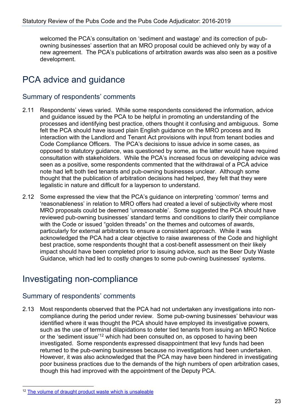welcomed the PCA's consultation on 'sediment and wastage' and its correction of pubowning businesses' assertion that an MRO proposal could be achieved only by way of a new agreement. The PCA's publications of arbitration awards was also seen as a positive development.

## PCA advice and guidance

#### Summary of respondents' comments

- 2.11 Respondents' views varied. While some respondents considered the information, advice and guidance issued by the PCA to be helpful in promoting an understanding of the processes and identifying best practice, others thought it confusing and ambiguous. Some felt the PCA should have issued plain English guidance on the MRO process and its interaction with the Landlord and Tenant Act provisions with input from tenant bodies and Code Compliance Officers. The PCA's decisions to issue advice in some cases, as opposed to statutory guidance, was questioned by some, as the latter would have required consultation with stakeholders. While the PCA's increased focus on developing advice was seen as a positive, some respondents commented that the withdrawal of a PCA advice note had left both tied tenants and pub-owning businesses unclear. Although some thought that the publication of arbitration decisions had helped, they felt that they were legalistic in nature and difficult for a layperson to understand.
- 2.12 Some expressed the view that the PCA's guidance on interpreting 'common' terms and 'reasonableness' in relation to MRO offers had created a level of subjectivity where most MRO proposals could be deemed 'unreasonable'. Some suggested the PCA should have reviewed pub-owning businesses' standard terms and conditions to clarify their compliance with the Code or issued "golden threads" on the themes and outcomes of awards, particularly for external arbitrators to ensure a consistent approach. While it was acknowledged the PCA had a clear objective to raise awareness of the Code and highlight best practice, some respondents thought that a cost-benefit assessment on their likely impact should have been completed prior to issuing advice, such as the Beer Duty Waste Guidance, which had led to costly changes to some pub-owning businesses' systems.

## Investigating non-compliance

#### Summary of respondents' comments

2.13 Most respondents observed that the PCA had not undertaken any investigations into noncompliance during the period under review. Some pub-owning businesses' behaviour was identified where it was thought the PCA should have employed its investigative powers, such as the use of terminal dilapidations to deter tied tenants from issuing an MRO Notice or the 'sediment issue'<sup>[12](#page-22-0)</sup> which had been consulted on, as opposed to having been investigated. Some respondents expressed disappointment that levy funds had been returned to the pub-owning businesses because no investigations had been undertaken. However, it was also acknowledged that the PCA may have been hindered in investigating poor business practices due to the demands of the high numbers of open arbitration cases, though this had improved with the appointment of the Deputy PCA.

<span id="page-22-0"></span><sup>&</sup>lt;sup>12</sup> [The volume of draught product waste which is unsaleable](https://www.gov.uk/government/publications/pubs-code-adjudicator-guidance-beer-waste-and-duty)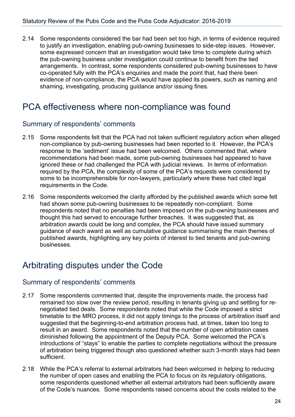2.14 Some respondents considered the bar had been set too high, in terms of evidence required to justify an investigation, enabling pub-owning businesses to side-step issues. However, some expressed concern that an investigation would take time to complete during which the pub-owning business under investigation could continue to benefit from the tied arrangements. In contrast, some respondents considered pub-owning businesses to have co-operated fully with the PCA's enquiries and made the point that, had there been evidence of non-compliance, the PCA would have applied its powers, such as naming and shaming, investigating, producing guidance and/or issuing fines.

## PCA effectiveness where non-compliance was found

#### Summary of respondents' comments

- 2.15 Some respondents felt that the PCA had not taken sufficient regulatory action when alleged non-compliance by pub-owning businesses had been reported to it. However, the PCA's response to the 'sediment' issue had been welcomed. Others commented that, where recommendations had been made, some pub-owning businesses had appeared to have ignored these or had challenged the PCA with judicial reviews. In terms of information required by the PCA, the complexity of some of the PCA's requests were considered by some to be incomprehensible for non-lawyers, particularly where these had cited legal requirements in the Code.
- 2.16 Some respondents welcomed the clarity afforded by the published awards which some felt had shown some pub-owning businesses to be repeatedly non-compliant. Some respondents noted that no penalties had been imposed on the pub-owning businesses and thought this had served to encourage further breaches. It was suggested that, as arbitration awards could be long and complex, the PCA should have issued summary guidance of each award as well as cumulative guidance summarising the main themes of published awards, highlighting any key points of interest to tied tenants and pub-owning businesses.

## Arbitrating disputes under the Code

#### Summary of respondents' comments

- 2.17 Some respondents commented that, despite the improvements made, the process had remained too slow over the review period, resulting in tenants giving up and settling for renegotiated tied deals. Some respondents noted that while the Code imposed a strict timetable to the MRO process, it did not apply timings to the process of arbitration itself and suggested that the beginning-to-end arbitration process had, at times, taken too long to result in an award. Some respondents noted that the number of open arbitration cases diminished following the appointment of the Deputy PCA. Some welcomed the PCA's introductions of "stays" to enable the parties to complete negotiations without the pressure of arbitration being triggered though also questioned whether such 3-month stays had been sufficient.
- 2.18 While the PCA's referral to external arbitrators had been welcomed in helping to reducing the number of open cases and enabling the PCA to focus on its regulatory obligations, some respondents questioned whether all external arbitrators had been sufficiently aware of the Code's nuances. Some respondents raised concerns about the costs related to the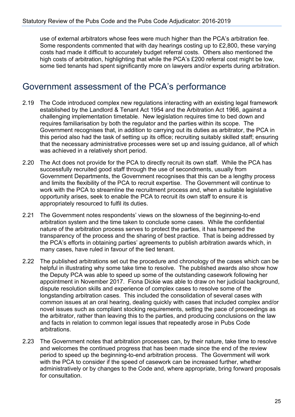use of external arbitrators whose fees were much higher than the PCA's arbitration fee. Some respondents commented that with day hearings costing up to £2,800, these varying costs had made it difficult to accurately budget referral costs. Others also mentioned the high costs of arbitration, highlighting that while the PCA's £200 referral cost might be low, some tied tenants had spent significantly more on lawyers and/or experts during arbitration.

### Government assessment of the PCA's performance

- 2.19 The Code introduced complex new regulations interacting with an existing legal framework established by the Landlord & Tenant Act 1954 and the Arbitration Act 1966, against a challenging implementation timetable. New legislation requires time to bed down and requires familiarisation by both the regulator and the parties within its scope. The Government recognises that, in addition to carrying out its duties as arbitrator, the PCA in this period also had the task of setting up its office; recruiting suitably skilled staff; ensuring that the necessary administrative processes were set up and issuing guidance, all of which was achieved in a relatively short period.
- 2.20 The Act does not provide for the PCA to directly recruit its own staff. While the PCA has successfully recruited good staff through the use of secondments, usually from Government Departments, the Government recognises that this can be a lengthy process and limits the flexibility of the PCA to recruit expertise. The Government will continue to work with the PCA to streamline the recruitment process and, when a suitable legislative opportunity arises, seek to enable the PCA to recruit its own staff to ensure it is appropriately resourced to fulfil its duties.
- 2.21 The Government notes respondents' views on the slowness of the beginning-to-end arbitration system and the time taken to conclude some cases. While the confidential nature of the arbitration process serves to protect the parties, it has hampered the transparency of the process and the sharing of best practice. That is being addressed by the PCA's efforts in obtaining parties' agreements to publish arbitration awards which, in many cases, have ruled in favour of the tied tenant.
- 2.22 The published arbitrations set out the procedure and chronology of the cases which can be helpful in illustrating why some take time to resolve. The published awards also show how the Deputy PCA was able to speed up some of the outstanding casework following her appointment in November 2017. Fiona Dickie was able to draw on her judicial background, dispute resolution skills and experience of complex cases to resolve some of the longstanding arbitration cases. This included the consolidation of several cases with common issues at an oral hearing, dealing quickly with cases that included complex and/or novel issues such as compliant stocking requirements, setting the pace of proceedings as the arbitrator, rather than leaving this to the parties, and producing conclusions on the law and facts in relation to common legal issues that repeatedly arose in Pubs Code arbitrations.
- 2.23 The Government notes that arbitration processes can, by their nature, take time to resolve and welcomes the continued progress that has been made since the end of the review period to speed up the beginning-to-end arbitration process. The Government will work with the PCA to consider if the speed of casework can be increased further, whether administratively or by changes to the Code and, where appropriate, bring forward proposals for consultation.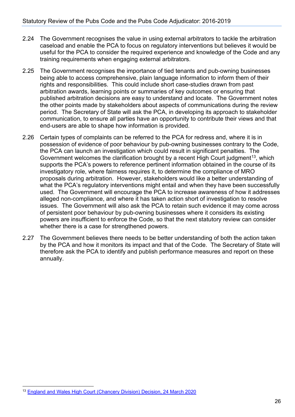- 2.24 The Government recognises the value in using external arbitrators to tackle the arbitration caseload and enable the PCA to focus on regulatory interventions but believes it would be useful for the PCA to consider the required experience and knowledge of the Code and any training requirements when engaging external arbitrators.
- 2.25 The Government recognises the importance of tied tenants and pub-owning businesses being able to access comprehensive, plain language information to inform them of their rights and responsibilities. This could include short case-studies drawn from past arbitration awards, learning points or summaries of key outcomes or ensuring that published arbitration decisions are easy to understand and locate. The Government notes the other points made by stakeholders about aspects of communications during the review period. The Secretary of State will ask the PCA, in developing its approach to stakeholder communication, to ensure all parties have an opportunity to contribute their views and that end-users are able to shape how information is provided.
- 2.26 Certain types of complaints can be referred to the PCA for redress and, where it is in possession of evidence of poor behaviour by pub-owning businesses contrary to the Code, the PCA can launch an investigation which could result in significant penalties. The Government welcomes the clarification brought by a recent High Court judgment<sup>13</sup>, which supports the PCA's powers to reference pertinent information obtained in the course of its investigatory role, where fairness requires it, to determine the compliance of MRO proposals during arbitration. However, stakeholders would like a better understanding of what the PCA's regulatory interventions might entail and when they have been successfully used. The Government will encourage the PCA to increase awareness of how it addresses alleged non-compliance, and where it has taken action short of investigation to resolve issues. The Government will also ask the PCA to retain such evidence it may come across of persistent poor behaviour by pub-owning businesses where it considers its existing powers are insufficient to enforce the Code, so that the next statutory review can consider whether there is a case for strengthened powers.
- 2.27 The Government believes there needs to be better understanding of both the action taken by the PCA and how it monitors its impact and that of the Code. The Secretary of State will therefore ask the PCA to identify and publish performance measures and report on these annually.

<span id="page-25-0"></span><sup>13</sup> [England and Wales High Court \(Chancery Division\) Decision, 24 March 2020](https://www.bailii.org/ew/cases/EWHC/Ch/2020/714.html)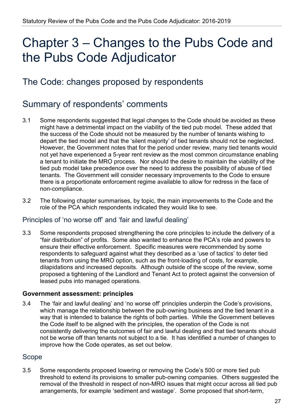## <span id="page-26-0"></span>Chapter 3 – Changes to the Pubs Code and the Pubs Code Adjudicator

## The Code: changes proposed by respondents

## Summary of respondents' comments

- 3.1 Some respondents suggested that legal changes to the Code should be avoided as these might have a detrimental impact on the viability of the tied pub model. These added that the success of the Code should not be measured by the number of tenants wishing to depart the tied model and that the 'silent majority' of tied tenants should not be neglected. However, the Government notes that for the period under review, many tied tenants would not yet have experienced a 5-year rent review as the most common circumstance enabling a tenant to initiate the MRO process. Nor should the desire to maintain the viability of the tied pub model take precedence over the need to address the possibility of abuse of tied tenants. The Government will consider necessary improvements to the Code to ensure there is a proportionate enforcement regime available to allow for redress in the face of non-compliance.
- 3.2 The following chapter summarises, by topic, the main improvements to the Code and the role of the PCA which respondents indicated they would like to see.

#### Principles of 'no worse off' and 'fair and lawful dealing'

3.3 Some respondents proposed strengthening the core principles to include the delivery of a "fair distribution" of profits. Some also wanted to enhance the PCA's role and powers to ensure their effective enforcement. Specific measures were recommended by some respondents to safeguard against what they described as a 'use of tactics' to deter tied tenants from using the MRO option, such as the front-loading of costs, for example, dilapidations and increased deposits. Although outside of the scope of the review, some proposed a tightening of the Landlord and Tenant Act to protect against the conversion of leased pubs into managed operations.

#### **Government assessment: principles**

3.4 The 'fair and lawful dealing' and 'no worse off' principles underpin the Code's provisions, which manage the relationship between the pub-owning business and the tied tenant in a way that is intended to balance the rights of both parties. While the Government believes the Code itself to be aligned with the principles, the operation of the Code is not consistently delivering the outcomes of fair and lawful dealing and that tied tenants should not be worse off than tenants not subject to a tie. It has identified a number of changes to improve how the Code operates, as set out below.

#### Scope

3.5 Some respondents proposed lowering or removing the Code's 500 or more tied pub threshold to extend its provisions to smaller pub-owning companies. Others suggested the removal of the threshold in respect of non-MRO issues that might occur across all tied pub arrangements, for example 'sediment and wastage'. Some proposed that short-term,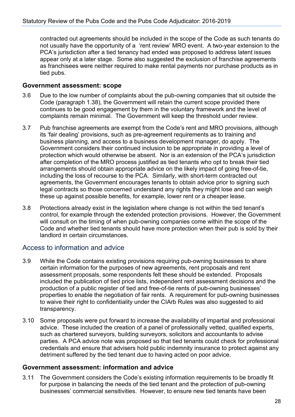contracted out agreements should be included in the scope of the Code as such tenants do not usually have the opportunity of a 'rent review' MRO event. A two-year extension to the PCA's jurisdiction after a tied tenancy had ended was proposed to address latent issues appear only at a later stage. Some also suggested the exclusion of franchise agreements as franchisees were neither required to make rental payments nor purchase products as in tied pubs.

#### **Government assessment: scope**

- 3.6 Due to the low number of complaints about the pub-owning companies that sit outside the Code (paragraph 1.38), the Government will retain the current scope provided there continues to be good engagement by them in the voluntary framework and the level of complaints remain minimal. The Government will keep the threshold under review.
- 3.7 Pub franchise agreements are exempt from the Code's rent and MRO provisions, although its 'fair dealing' provisions, such as pre-agreement requirements as to training and business planning, and access to a business development manager, do apply. The Government considers their continued inclusion to be appropriate in providing a level of protection which would otherwise be absent. Nor is an extension of the PCA's jurisdiction after completion of the MRO process justified as tied tenants who opt to break their tied arrangements should obtain appropriate advice on the likely impact of going free-of-tie, including the loss of recourse to the PCA. Similarly, with short-term contracted out agreements, the Government encourages tenants to obtain advice prior to signing such legal contracts so those concerned understand any rights they might lose and can weigh these up against possible benefits, for example, lower rent or a cheaper lease.
- 3.8 Protections already exist in the legislation where change is not within the tied tenant's control, for example through the extended protection provisions. However, the Government will consult on the timing of when pub-owning companies come within the scope of the Code and whether tied tenants should have more protection when their pub is sold by their landlord in certain circumstances.

#### Access to information and advice

- 3.9 While the Code contains existing provisions requiring pub-owning businesses to share certain information for the purposes of new agreements, rent proposals and rent assessment proposals, some respondents felt these should be extended. Proposals included the publication of tied price lists, independent rent assessment decisions and the production of a public register of tied and free-of-tie rents of pub-owning businesses' properties to enable the negotiation of fair rents. A requirement for pub-owning businesses to waive their right to confidentiality under the CIArb Rules was also suggested to aid transparency.
- 3.10 Some proposals were put forward to increase the availability of impartial and professional advice. These included the creation of a panel of professionally vetted, qualified experts, such as chartered surveyors, building surveyors, solicitors and accountants to advise parties. A PCA advice note was proposed so that tied tenants could check for professional credentials and ensure that advisers hold public indemnity insurance to protect against any detriment suffered by the tied tenant due to having acted on poor advice.

#### **Government assessment: information and advice**

3.11 The Government considers the Code's existing information requirements to be broadly fit for purpose in balancing the needs of the tied tenant and the protection of pub-owning businesses' commercial sensitivities. However, to ensure new tied tenants have been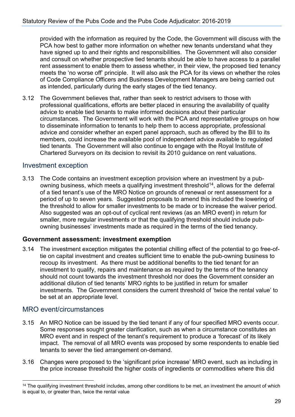provided with the information as required by the Code, the Government will discuss with the PCA how best to gather more information on whether new tenants understand what they have signed up to and their rights and responsibilities. The Government will also consider and consult on whether prospective tied tenants should be able to have access to a parallel rent assessment to enable them to assess whether, in their view, the proposed tied tenancy meets the 'no worse off' principle. It will also ask the PCA for its views on whether the roles of Code Compliance Officers and Business Development Managers are being carried out as intended, particularly during the early stages of the tied tenancy.

3.12 The Government believes that, rather than seek to restrict advisers to those with professional qualifications, efforts are better placed in ensuring the availability of quality advice to enable tied tenants to make informed decisions about their particular circumstances. The Government will work with the PCA and representative groups on how to disseminate information to tenants to help them to access appropriate, professional advice and consider whether an expert panel approach, such as offered by the BII to its members, could increase the available pool of independent advice available to regulated tied tenants. The Government will also continue to engage with the Royal Institute of Chartered Surveyors on its decision to revisit its 2010 guidance on rent valuations.

#### Investment exception

3.13 The Code contains an investment exception provision where an investment by a pubowning business, which meets a qualifying investment threshold<sup>14</sup>, allows for the deferral of a tied tenant's use of the MRO Notice on grounds of renewal or rent assessment for a period of up to seven years. Suggested proposals to amend this included the lowering of the threshold to allow for smaller investments to be made or to increase the waiver period. Also suggested was an opt-out of cyclical rent reviews (as an MRO event) in return for smaller, more regular investments or that the qualifying threshold should include pubowning businesses' investments made as required in the terms of the tied tenancy.

#### **Government assessment: investment exemption**

3.14 The investment exception mitigates the potential chilling effect of the potential to go free-oftie on capital investment and creates sufficient time to enable the pub-owning business to recoup its investment. As there must be additional benefits to the tied tenant for an investment to qualify, repairs and maintenance as required by the terms of the tenancy should not count towards the investment threshold nor does the Government consider an additional dilution of tied tenants' MRO rights to be justified in return for smaller investments. The Government considers the current threshold of 'twice the rental value' to be set at an appropriate level.

#### MRO event/circumstances

- 3.15 An MRO Notice can be issued by the tied tenant if any of four specified MRO events occur. Some responses sought greater clarification, such as when a circumstance constitutes an MRO event and in respect of the tenant's requirement to produce a 'forecast' of its likely impact. The removal of all MRO events was proposed by some respondents to enable tied tenants to sever the tied arrangement on-demand.
- 3.16 Changes were proposed to the 'significant price increase' MRO event, such as including in the price increase threshold the higher costs of ingredients or commodities where this did

<span id="page-28-0"></span><sup>&</sup>lt;sup>14</sup> The qualifying investment threshold includes, among other conditions to be met, an investment the amount of which is equal to, or greater than, twice the rental value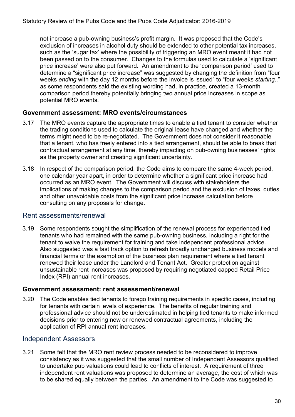not increase a pub-owning business's profit margin. It was proposed that the Code's exclusion of increases in alcohol duty should be extended to other potential tax increases, such as the 'sugar tax' where the possibility of triggering an MRO event meant it had not been passed on to the consumer. Changes to the formulas used to calculate a 'significant price increase' were also put forward. An amendment to the 'comparison period' used to determine a "significant price increase" was suggested by changing the definition from "four weeks *ending* with the day 12 months before the invoice is issued" to "four weeks *starting*.." as some respondents said the existing wording had, in practice, created a 13-month comparison period thereby potentially bringing two annual price increases in scope as potential MRO events.

#### **Government assessment: MRO events/circumstances**

- 3.17 The MRO events capture the appropriate times to enable a tied tenant to consider whether the trading conditions used to calculate the original lease have changed and whether the terms might need to be re-negotiated. The Government does not consider it reasonable that a tenant, who has freely entered into a tied arrangement, should be able to break that contractual arrangement at any time, thereby impacting on pub-owning businesses' rights as the property owner and creating significant uncertainty.
- 3.18 In respect of the comparison period, the Code aims to compare the same 4-week period, one calendar year apart, in order to determine whether a significant price increase had occurred as an MRO event. The Government will discuss with stakeholders the implications of making changes to the comparison period and the exclusion of taxes, duties and other unavoidable costs from the significant price increase calculation before consulting on any proposals for change.

#### Rent assessments/renewal

3.19 Some respondents sought the simplification of the renewal process for experienced tied tenants who had remained with the same pub-owning business, including a right for the tenant to waive the requirement for training and take independent professional advice. Also suggested was a fast track option to refresh broadly unchanged business models and financial terms or the exemption of the business plan requirement where a tied tenant renewed their lease under the Landlord and Tenant Act. Greater protection against unsustainable rent increases was proposed by requiring negotiated capped Retail Price Index (RPI) annual rent increases.

#### **Government assessment: rent assessment/renewal**

3.20 The Code enables tied tenants to forego training requirements in specific cases, including for tenants with certain levels of experience. The benefits of regular training and professional advice should not be underestimated in helping tied tenants to make informed decisions prior to entering new or renewed contractual agreements, including the application of RPI annual rent increases.

#### Independent Assessors

3.21 Some felt that the MRO rent review process needed to be reconsidered to improve consistency as it was suggested that the small number of Independent Assessors qualified to undertake pub valuations could lead to conflicts of interest. A requirement of three independent rent valuations was proposed to determine an average, the cost of which was to be shared equally between the parties. An amendment to the Code was suggested to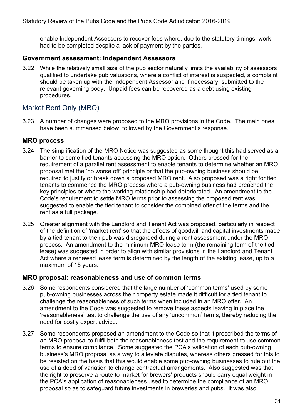enable Independent Assessors to recover fees where, due to the statutory timings, work had to be completed despite a lack of payment by the parties.

#### **Government assessment: Independent Assessors**

3.22 While the relatively small size of the pub sector naturally limits the availability of assessors qualified to undertake pub valuations, where a conflict of interest is suspected, a complaint should be taken up with the Independent Assessor and if necessary, submitted to the relevant governing body. Unpaid fees can be recovered as a debt using existing procedures.

#### Market Rent Only (MRO)

3.23 A number of changes were proposed to the MRO provisions in the Code. The main ones have been summarised below, followed by the Government's response.

#### **MRO process**

- 3.24 The simplification of the MRO Notice was suggested as some thought this had served as a barrier to some tied tenants accessing the MRO option. Others pressed for the requirement of a parallel rent assessment to enable tenants to determine whether an MRO proposal met the 'no worse off' principle or that the pub-owning business should be required to justify or break down a proposed MRO rent. Also proposed was a right for tied tenants to commence the MRO process where a pub-owning business had breached the key principles or where the working relationship had deteriorated. An amendment to the Code's requirement to settle MRO terms prior to assessing the proposed rent was suggested to enable the tied tenant to consider the combined offer of the terms and the rent as a full package.
- 3.25 Greater alignment with the Landlord and Tenant Act was proposed, particularly in respect of the definition of 'market rent' so that the effects of goodwill and capital investments made by a tied tenant to their pub was disregarded during a rent assessment under the MRO process. An amendment to the minimum MRO lease term (the remaining term of the tied lease) was suggested in order to align with similar provisions in the Landlord and Tenant Act where a renewed lease term is determined by the length of the existing lease, up to a maximum of 15 years.

#### **MRO proposal: reasonableness and use of common terms**

- 3.26 Some respondents considered that the large number of 'common terms' used by some pub-owning businesses across their property estate made it difficult for a tied tenant to challenge the reasonableness of such terms when included in an MRO offer. An amendment to the Code was suggested to remove these aspects leaving in place the 'reasonableness' test to challenge the use of any 'uncommon' terms, thereby reducing the need for costly expert advice.
- 3.27 Some respondents proposed an amendment to the Code so that it prescribed the terms of an MRO proposal to fulfil both the reasonableness test and the requirement to use common terms to ensure compliance. Some suggested the PCA's validation of each pub-owning business's MRO proposal as a way to alleviate disputes, whereas others pressed for this to be resisted on the basis that this would enable some pub-owning businesses to rule out the use of a deed of variation to change contractual arrangements. Also suggested was that the right to preserve a route to market for brewers' products should carry equal weight in the PCA's application of reasonableness used to determine the compliance of an MRO proposal so as to safeguard future investments in breweries and pubs. It was also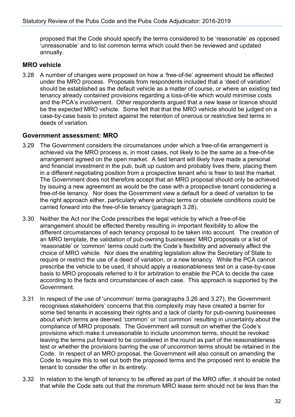proposed that the Code should specify the terms considered to be 'reasonable' as opposed 'unreasonable' and to list common terms which could then be reviewed and updated annually.

#### **MRO vehicle**

3.28 A number of changes were proposed on how a 'free-of-tie' agreement should be effected under the MRO process. Proposals from respondents included that a 'deed of variation' should be established as the default vehicle as a matter of course, or where an existing tied tenancy already contained provisions regarding a loss-of-tie which would minimise costs and the PCA's involvement. Other respondents argued that a new lease or licence should be the expected MRO vehicle. Some felt that that the MRO vehicle should be judged on a case-by-case basis to protect against the retention of onerous or restrictive tied terms in deeds of variation.

#### **Government assessment: MRO**

- 3.29 The Government considers the circumstances under which a free-of-tie arrangement is achieved via the MRO process is, in most cases, not likely to be the same as a free-of-tie arrangement agreed on the open market. A tied tenant will likely have made a personal and financial investment in the pub, built up custom and probably lives there, placing them in a different negotiating position from a prospective tenant who is freer to test the market. The Government does not therefore accept that an MRO proposal should only be achieved by issuing a new agreement as would be the case with a prospective tenant considering a free-of-tie tenancy. Nor does the Government view a default for a deed of variation to be the right approach either, particularly where archaic terms or obsolete conditions could be carried forward into the free-of-tie tenancy (paragraph 3.28).
- 3.30 Neither the Act nor the Code prescribes the legal vehicle by which a free-of-tie arrangement should be effected thereby resulting in important flexibility to allow the different circumstances of each tenancy proposal to be taken into account. The creation of an MRO template, the validation of pub-owning businesses' MRO proposals or a list of 'reasonable' or 'common' terms could curb the Code's flexibility and adversely affect the choice of MRO vehicle. Nor does the enabling legislation allow the Secretary of State to require or restrict the use of a deed of variation, or a new tenancy. While the PCA cannot prescribe the vehicle to be used, it should apply a reasonableness test on a case-by-case basis to MRO proposals referred to it for arbitration to enable the PCA to decide the case according to the facts and circumstances of each case. This approach is supported by the Government.
- 3.31 In respect of the use of 'uncommon' terms (paragraphs 3.26 and 3.27), the Government recognises stakeholders' concerns that this complexity may have created a barrier for some tied tenants in accessing their rights and a lack of clarity for pub-owning businesses about which terms are deemed 'common' or 'not common' resulting in uncertainty about the compliance of MRO proposals. The Government will consult on whether the Code's provisions which make it unreasonable to include uncommon terms, should be revoked leaving the terms put forward to be considered in the round as part of the reasonableness test or whether the provisions barring the use of uncommon terms should be retained in the Code. In respect of an MRO proposal, the Government will also consult on amending the Code to require this to set out both the proposed terms and the proposed rent to enable the tenant to consider the offer in its entirety.
- 3.32 In relation to the length of tenancy to be offered as part of the MRO offer, it should be noted that while the Code sets out that the minimum MRO lease term should not be less than the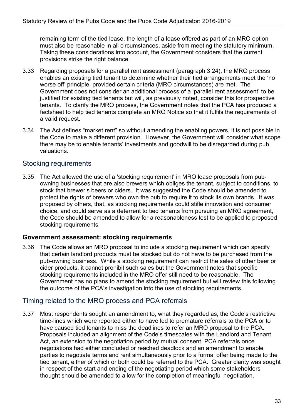remaining term of the tied lease, the length of a lease offered as part of an MRO option must also be reasonable in all circumstances, aside from meeting the statutory minimum. Taking these considerations into account, the Government considers that the current provisions strike the right balance.

- 3.33 Regarding proposals for a parallel rent assessment (paragraph 3.24), the MRO process enables an existing tied tenant to determine whether their tied arrangements meet the 'no worse off' principle, provided certain criteria (MRO circumstances) are met. The Government does not consider an additional process of a 'parallel rent assessment' to be justified for existing tied tenants but will, as previously noted, consider this for prospective tenants. To clarify the MRO process, the Government notes that the PCA has produced a factsheet to help tied tenants complete an MRO Notice so that it fulfils the requirements of a valid request.
- 3.34 The Act defines "market rent" so without amending the enabling powers, it is not possible in the Code to make a different provision. However, the Government will consider what scope there may be to enable tenants' investments and goodwill to be disregarded during pub valuations.

#### Stocking requirements

3.35 The Act allowed the use of a 'stocking requirement' in MRO lease proposals from pubowning businesses that are also brewers which obliges the tenant, subject to conditions, to stock that brewer's beers or ciders. It was suggested the Code should be amended to protect the rights of brewers who own the pub to require it to stock its own brands. It was proposed by others, that, as stocking requirements could stifle innovation and consumer choice, and could serve as a deterrent to tied tenants from pursuing an MRO agreement, the Code should be amended to allow for a reasonableness test to be applied to proposed stocking requirements.

#### **Government assessment: stocking requirements**

3.36 The Code allows an MRO proposal to include a stocking requirement which can specify that certain landlord products must be stocked but do not have to be purchased from the pub-owning business. While a stocking requirement can restrict the sales of other beer or cider products, it cannot prohibit such sales but the Government notes that specific stocking requirements included in the MRO offer still need to be reasonable. The Government has no plans to amend the stocking requirement but will review this following the outcome of the PCA's investigation into the use of stocking requirements.

#### Timing related to the MRO process and PCA referrals

3.37 Most respondents sought an amendment to, what they regarded as, the Code's restrictive time-lines which were reported either to have led to premature referrals to the PCA or to have caused tied tenants to miss the deadlines to refer an MRO proposal to the PCA. Proposals included an alignment of the Code's timescales with the Landlord and Tenant Act, an extension to the negotiation period by mutual consent, PCA referrals once negotiations had either concluded or reached deadlock and an amendment to enable parties to negotiate terms and rent simultaneously prior to a formal offer being made to the tied tenant, either of which or both could be referred to the PCA. Greater clarity was sought in respect of the start and ending of the negotiating period which some stakeholders thought should be amended to allow for the completion of meaningful negotiation.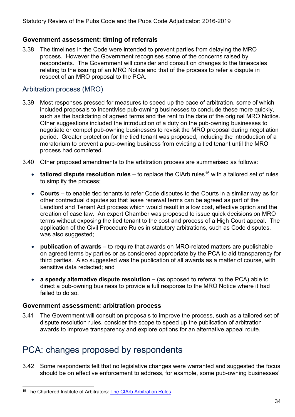#### **Government assessment: timing of referrals**

3.38 The timelines in the Code were intended to prevent parties from delaying the MRO process. However the Government recognises some of the concerns raised by respondents. The Government will consider and consult on changes to the timescales relating to the issuing of an MRO Notice and that of the process to refer a dispute in respect of an MRO proposal to the PCA.

#### Arbitration process (MRO)

- 3.39 Most responses pressed for measures to speed up the pace of arbitration, some of which included proposals to incentivise pub-owning businesses to conclude these more quickly, such as the backdating of agreed terms and the rent to the date of the original MRO Notice. Other suggestions included the introduction of a duty on the pub-owning businesses to negotiate or compel pub-owning businesses to revisit the MRO proposal during negotiation period. Greater protection for the tied tenant was proposed, including the introduction of a moratorium to prevent a pub-owning business from evicting a tied tenant until the MRO process had completed.
- 3.40 Other proposed amendments to the arbitration process are summarised as follows:
	- **tailored dispute resolution rules** to replace the CIArb rules<sup>[15](#page-33-0)</sup> with a tailored set of rules to simplify the process;
	- **Courts** to enable tied tenants to refer Code disputes to the Courts in a similar way as for other contractual disputes so that lease renewal terms can be agreed as part of the Landlord and Tenant Act process which would result in a low cost, effective option and the creation of case law. An expert Chamber was proposed to issue quick decisions on MRO terms without exposing the tied tenant to the cost and process of a High Court appeal. The application of the Civil Procedure Rules in statutory arbitrations, such as Code disputes, was also suggested;
	- **publication of awards** to require that awards on MRO-related matters are publishable on agreed terms by parties or as considered appropriate by the PCA to aid transparency for third parties. Also suggested was the publication of all awards as a matter of course, with sensitive data redacted; and
	- **a speedy alternative dispute resolution –** (as opposed to referral to the PCA) able to direct a pub-owning business to provide a full response to the MRO Notice where it had failed to do so.

#### **Government assessment: arbitration process**

3.41 The Government will consult on proposals to improve the process, such as a tailored set of dispute resolution rules, consider the scope to speed up the publication of arbitration awards to improve transparency and explore options for an alternative appeal route.

### PCA: changes proposed by respondents

3.42 Some respondents felt that no legislative changes were warranted and suggested the focus should be on effective enforcement to address, for example, some pub-owning businesses'

<span id="page-33-0"></span><sup>15</sup> The Chartered Institute of Arbitrators: [The CIArb Arbitration Rules](https://www.ciarb.org/disputes/schemes/ciarb-arbitration-rules/)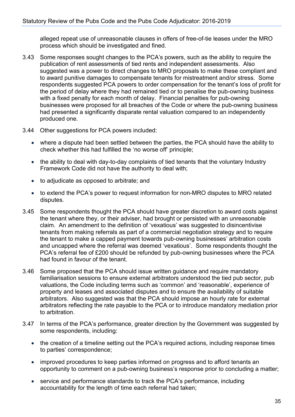alleged repeat use of unreasonable clauses in offers of free-of-tie leases under the MRO process which should be investigated and fined.

- 3.43 Some responses sought changes to the PCA's powers, such as the ability to require the publication of rent assessments of tied rents and independent assessments. Also suggested was a power to direct changes to MRO proposals to make these compliant and to award punitive damages to compensate tenants for mistreatment and/or stress. Some respondents suggested PCA powers to order compensation for the tenant's loss of profit for the period of delay where they had remained tied or to penalise the pub-owning business with a fixed penalty for each month of delay. Financial penalties for pub-owning businesses were proposed for all breaches of the Code or where the pub-owning business had presented a significantly disparate rental valuation compared to an independently produced one.
- 3.44 Other suggestions for PCA powers included:
	- where a dispute had been settled between the parties, the PCA should have the ability to check whether this had fulfilled the 'no worse off' principle;
	- the ability to deal with day-to-day complaints of tied tenants that the voluntary Industry Framework Code did not have the authority to deal with;
	- to adjudicate as opposed to arbitrate; and
	- to extend the PCA's power to request information for non-MRO disputes to MRO related disputes.
- 3.45 Some respondents thought the PCA should have greater discretion to award costs against the tenant where they, or their adviser, had brought or persisted with an unreasonable claim. An amendment to the definition of 'vexatious' was suggested to disincentivise tenants from making referrals as part of a commercial negotiation strategy and to require the tenant to make a capped payment towards pub-owning businesses' arbitration costs and uncapped where the referral was deemed 'vexatious'. Some respondents thought the PCA's referral fee of £200 should be refunded by pub-owning businesses where the PCA had found in favour of the tenant.
- 3.46 Some proposed that the PCA should issue written guidance and require mandatory familiarisation sessions to ensure external arbitrators understood the tied pub sector, pub valuations, the Code including terms such as 'common' and 'reasonable', experience of property and leases and associated disputes and to ensure the availability of suitable arbitrators. Also suggested was that the PCA should impose an hourly rate for external arbitrators reflecting the rate payable to the PCA or to introduce mandatory mediation prior to arbitration.
- 3.47 In terms of the PCA's performance, greater direction by the Government was suggested by some respondents, including:
	- the creation of a timeline setting out the PCA's required actions, including response times to parties' correspondence;
	- improved procedures to keep parties informed on progress and to afford tenants an opportunity to comment on a pub-owning business's response prior to concluding a matter;
	- service and performance standards to track the PCA's performance, including accountability for the length of time each referral had taken;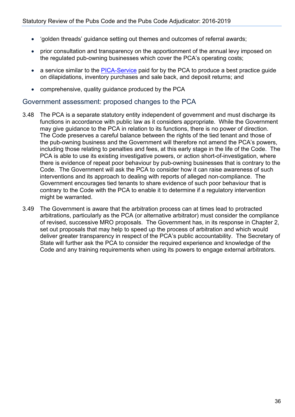- 'golden threads' guidance setting out themes and outcomes of referral awards;
- prior consultation and transparency on the apportionment of the annual levy imposed on the regulated pub-owning businesses which cover the PCA's operating costs;
- a service similar to the [PICA-Service](http://www.picaservice.com/) paid for by the PCA to produce a best practice quide on dilapidations, inventory purchases and sale back, and deposit returns; and
- comprehensive, quality guidance produced by the PCA

#### Government assessment: proposed changes to the PCA

- 3.48 The PCA is a separate statutory entity independent of government and must discharge its functions in accordance with public law as it considers appropriate. While the Government may give guidance to the PCA in relation to its functions, there is no power of direction. The Code preserves a careful balance between the rights of the tied tenant and those of the pub-owning business and the Government will therefore not amend the PCA's powers, including those relating to penalties and fees, at this early stage in the life of the Code. The PCA is able to use its existing investigative powers, or action short-of-investigation, where there is evidence of repeat poor behaviour by pub-owning businesses that is contrary to the Code. The Government will ask the PCA to consider how it can raise awareness of such interventions and its approach to dealing with reports of alleged non-compliance. The Government encourages tied tenants to share evidence of such poor behaviour that is contrary to the Code with the PCA to enable it to determine if a regulatory intervention might be warranted.
- 3.49 The Government is aware that the arbitration process can at times lead to protracted arbitrations, particularly as the PCA (or alternative arbitrator) must consider the compliance of revised, successive MRO proposals. The Government has, in its response in Chapter 2, set out proposals that may help to speed up the process of arbitration and which would deliver greater transparency in respect of the PCA's public accountability. The Secretary of State will further ask the PCA to consider the required experience and knowledge of the Code and any training requirements when using its powers to engage external arbitrators.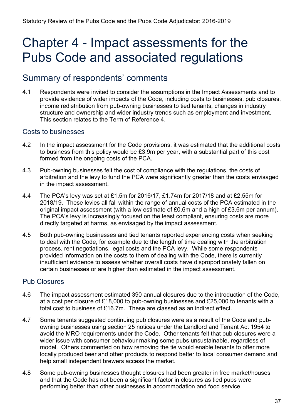## <span id="page-36-0"></span>Chapter 4 - Impact assessments for the Pubs Code and associated regulations

### Summary of respondents' comments

4.1 Respondents were invited to consider the assumptions in the Impact Assessments and to provide evidence of wider impacts of the Code, including costs to businesses, pub closures, income redistribution from pub-owning businesses to tied tenants, changes in industry structure and ownership and wider industry trends such as employment and investment. This section relates to the Term of Reference 4.

#### Costs to businesses

- 4.2 In the impact assessment for the Code provisions, it was estimated that the additional costs to business from this policy would be £3.9m per year, with a substantial part of this cost formed from the ongoing costs of the PCA.
- 4.3 Pub-owning businesses felt the cost of compliance with the regulations, the costs of arbitration and the levy to fund the PCA were significantly greater than the costs envisaged in the impact assessment.
- 4.4 The PCA's levy was set at £1.5m for 2016/17, £1.74m for 2017/18 and at £2.55m for 2018/19. These levies all fall within the range of annual costs of the PCA estimated in the original impact assessment (with a low estimate of £0.6m and a high of £3.6m per annum). The PCA's levy is increasingly focused on the least compliant, ensuring costs are more directly targeted at harms, as envisaged by the impact assessment.
- 4.5 Both pub-owning businesses and tied tenants reported experiencing costs when seeking to deal with the Code, for example due to the length of time dealing with the arbitration process, rent negotiations, legal costs and the PCA levy. While some respondents provided information on the costs to them of dealing with the Code, there is currently insufficient evidence to assess whether overall costs have disproportionately fallen on certain businesses or are higher than estimated in the impact assessment.

#### Pub Closures

- 4.6 The impact assessment estimated 390 annual closures due to the introduction of the Code, at a cost per closure of £18,000 to pub-owning businesses and £25,000 to tenants with a total cost to business of £16.7m. These are classed as an indirect effect.
- 4.7 Some tenants suggested continuing pub closures were as a result of the Code and pubowning businesses using section 25 notices under the Landlord and Tenant Act 1954 to avoid the MRO requirements under the Code. Other tenants felt that pub closures were a wider issue with consumer behaviour making some pubs unsustainable, regardless of model. Others commented on how removing the tie would enable tenants to offer more locally produced beer and other products to respond better to local consumer demand and help small independent brewers access the market.
- 4.8 Some pub-owning businesses thought closures had been greater in free market/houses and that the Code has not been a significant factor in closures as tied pubs were performing better than other businesses in accommodation and food service.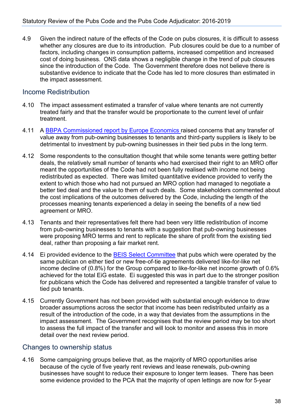4.9 Given the indirect nature of the effects of the Code on pubs closures, it is difficult to assess whether any closures are due to its introduction. Pub closures could be due to a number of factors, including changes in consumption patterns, increased competition and increased cost of doing business. ONS data shows a negligible change in the trend of pub closures since the introduction of the Code. The Government therefore does not believe there is substantive evidence to indicate that the Code has led to more closures than estimated in the impact assessment.

#### Income Redistribution

- 4.10 The impact assessment estimated a transfer of value where tenants are not currently treated fairly and that the transfer would be proportionate to the current level of unfair treatment.
- 4.11 A [BBPA Commissioned report by Europe Economics](https://beerandpub.com/briefings/europeeconomics/) raised concerns that any transfer of value away from pub-owning businesses to tenants and third-party suppliers is likely to be detrimental to investment by pub-owning businesses in their tied pubs in the long term.
- 4.12 Some respondents to the consultation thought that while some tenants were getting better deals, the relatively small number of tenants who had exercised their right to an MRO offer meant the opportunities of the Code had not been fully realised with income not being redistributed as expected. There was limited quantitative evidence provided to verify the extent to which those who had not pursued an MRO option had managed to negotiate a better tied deal and the value to them of such deals. Some stakeholders commented about the cost implications of the outcomes delivered by the Code, including the length of the processes meaning tenants experienced a delay in seeing the benefits of a new tied agreement or MRO.
- 4.13 Tenants and their representatives felt there had been very little redistribution of income from pub-owning businesses to tenants with a suggestion that pub-owning businesses were proposing MRO terms and rent to replicate the share of profit from the existing tied deal, rather than proposing a fair market rent.
- 4.14 Ei provided evidence to the **BEIS Select Committee that pubs which were operated by the** same publican on either tied or new free-of-tie agreements delivered like-for-like net income decline of (0.8%) for the Group compared to like-for-like net income growth of 0.6% achieved for the total EiG estate. Ei suggested this was in part due to the stronger position for publicans which the Code has delivered and represented a tangible transfer of value to tied pub tenants.
- 4.15 Currently Government has not been provided with substantial enough evidence to draw broader assumptions across the sector that income has been redistributed unfairly as a result of the introduction of the code, in a way that deviates from the assumptions in the impact assessment. The Government recognises that the review period may be too short to assess the full impact of the transfer and will look to monitor and assess this in more detail over the next review period.

#### Changes to ownership status

4.16 Some campaigning groups believe that, as the majority of MRO opportunities arise because of the cycle of five yearly rent reviews and lease renewals, pub-owning businesses have sought to reduce their exposure to longer term leases. There has been some evidence provided to the PCA that the majority of open lettings are now for 5-year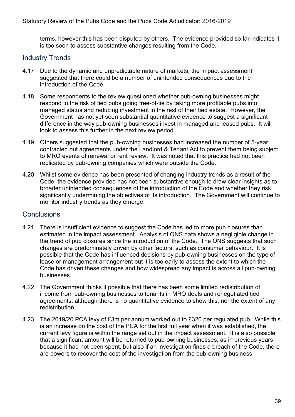terms, however this has been disputed by others. The evidence provided so far indicates it is too soon to assess substantive changes resulting from the Code.

#### Industry Trends

- 4.17 Due to the dynamic and unpredictable nature of markets, the impact assessment suggested that there could be a number of unintended consequences due to the introduction of the Code.
- 4.18 Some respondents to the review questioned whether pub-owning businesses might respond to the risk of tied pubs going free-of-tie by taking more profitable pubs into managed status and reducing investment in the rest of their tied estate. However, the Government has not yet seen substantial quantitative evidence to suggest a significant difference in the way pub-owning businesses invest in managed and leased pubs. It will look to assess this further in the next review period.
- 4.19 Others suggested that the pub-owning businesses had increased the number of 5-year contracted out agreements under the Landlord & Tenant Act to prevent them being subject to MRO events of renewal or rent review. It was noted that this practice had not been replicated by pub-owning companies which were outside the Code.
- 4.20 Whilst some evidence has been presented of changing industry trends as a result of the Code, the evidence provided has not been substantive enough to draw clear insights as to broader unintended consequences of the introduction of the Code and whether they risk significantly undermining the objectives of its introduction. The Government will continue to monitor industry trends as they emerge.

#### **Conclusions**

- 4.21 There is insufficient evidence to suggest the Code has led to more pub closures than estimated in the impact assessment. Analysis of ONS data shows a negligible change in the trend of pub closures since the introduction of the Code. The ONS suggests that such changes are predominately driven by other factors, such as consumer behaviour. It is possible that the Code has influenced decisions by pub-owning businesses on the type of lease or management arrangement but it is too early to assess the extent to which the Code has driven these changes and how widespread any impact is across all pub-owning businesses.
- 4.22 The Government thinks it possible that there has been some limited redistribution of income from pub-owning businesses to tenants in MRO deals and renegotiated tied agreements, although there is no quantitative evidence to show this, nor the extent of any redistribution.
- 4.23 The 2019/20 PCA levy of £3m per annum worked out to £320 per regulated pub. While this is an increase on the cost of the PCA for the first full year when it was established, the current levy figure is within the range set out in the impact assessment. It is also possible that a significant amount will be returned to pub-owning businesses, as in previous years because it had not been spent, but also if an investigation finds a breach of the Code, there are powers to recover the cost of the investigation from the pub-owning business.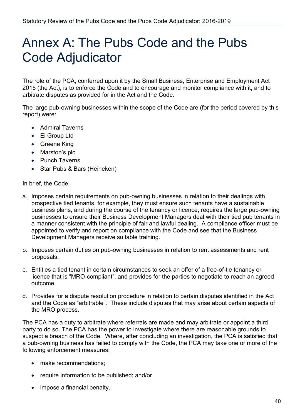## <span id="page-39-0"></span>Annex A: The Pubs Code and the Pubs Code Adjudicator

The role of the PCA, conferred upon it by the Small Business, Enterprise and Employment Act 2015 (the Act), is to enforce the Code and to encourage and monitor compliance with it, and to arbitrate disputes as provided for in the Act and the Code.

The large pub-owning businesses within the scope of the Code are (for the period covered by this report) were:

- Admiral Taverns
- Ei Group Ltd
- Greene King
- Marston's plc
- Punch Taverns
- Star Pubs & Bars (Heineken)

In brief, the Code:

- a. Imposes certain requirements on pub-owning businesses in relation to their dealings with prospective tied tenants, for example, they must ensure such tenants have a sustainable business plans, and during the course of the tenancy or licence, requires the large pub-owning businesses to ensure their Business Development Managers deal with their tied pub tenants in a manner consistent with the principle of fair and lawful dealing. A compliance officer must be appointed to verify and report on compliance with the Code and see that the Business Development Managers receive suitable training.
- b. Imposes certain duties on pub-owning businesses in relation to rent assessments and rent proposals.
- c. Entitles a tied tenant in certain circumstances to seek an offer of a free-of-tie tenancy or licence that is "MRO-compliant", and provides for the parties to negotiate to reach an agreed outcome.
- d. Provides for a dispute resolution procedure in relation to certain disputes identified in the Act and the Code as "arbitrable". These include disputes that may arise about certain aspects of the MRO process.

The PCA has a duty to arbitrate where referrals are made and may arbitrate or appoint a third party to do so. The PCA has the power to investigate where there are reasonable grounds to suspect a breach of the Code. Where, after concluding an investigation, the PCA is satisfied that a pub-owning business has failed to comply with the Code, the PCA may take one or more of the following enforcement measures:

- make recommendations:
- require information to be published; and/or
- impose a financial penalty.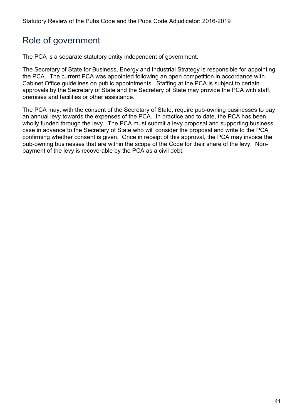## Role of government

The PCA is a separate statutory entity independent of government.

The Secretary of State for Business, Energy and Industrial Strategy is responsible for appointing the PCA. The current PCA was appointed following an open competition in accordance with Cabinet Office guidelines on public appointments. Staffing at the PCA is subject to certain approvals by the Secretary of State and the Secretary of State may provide the PCA with staff, premises and facilities or other assistance.

The PCA may, with the consent of the Secretary of State, require pub-owning businesses to pay an annual levy towards the expenses of the PCA. In practice and to date, the PCA has been wholly funded through the levy. The PCA must submit a levy proposal and supporting business case in advance to the Secretary of State who will consider the proposal and write to the PCA confirming whether consent is given. Once in receipt of this approval, the PCA may invoice the pub-owning businesses that are within the scope of the Code for their share of the levy. Nonpayment of the levy is recoverable by the PCA as a civil debt.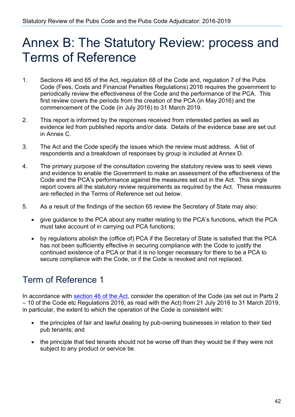## <span id="page-41-0"></span>Annex B: The Statutory Review: process and Terms of Reference

- 1. Sections 46 and 65 of the Act, regulation 68 of the Code and, regulation 7 of the Pubs Code (Fees, Costs and Financial Penalties Regulations) 2016 requires the government to periodically review the effectiveness of the Code and the performance of the PCA. This first review covers the periods from the creation of the PCA (in May 2016) and the commencement of the Code (in July 2016) to 31 March 2019.
- 2. This report is informed by the responses received from interested parties as well as evidence led from published reports and/or data. Details of the evidence base are set out in Annex C.
- 3. The Act and the Code specify the issues which the review must address. A list of respondents and a breakdown of responses by group is included at Annex D.
- 4. The primary purpose of the consultation covering the statutory review was to seek views and evidence to enable the Government to make an assessment of the effectiveness of the Code and the PCA's performance against the measures set out in the Act. This single report covers all the statutory review requirements as required by the Act. These measures are reflected in the Terms of Reference set out below.
- 5. As a result of the findings of the section 65 review the Secretary of State may also:
	- give guidance to the PCA about any matter relating to the PCA's functions, which the PCA must take account of in carrying out PCA functions;
	- by regulations abolish the (office of) PCA if the Secretary of State is satisfied that the PCA has not been sufficiently effective in securing compliance with the Code to justify the continued existence of a PCA or that it is no longer necessary for there to be a PCA to secure compliance with the Code, or if the Code is revoked and not replaced.

## Term of Reference 1

In accordance with [section 46 of the Act,](http://www.legislation.gov.uk/ukpga/2015/26/contents/enacted) consider the operation of the Code (as set out in Parts 2 – 10 of the Code etc Regulations 2016, as read with the Act) from 21 July 2016 to 31 March 2019, in particular, the extent to which the operation of the Code is consistent with:

- the principles of fair and lawful dealing by pub-owning businesses in relation to their tied pub tenants; and
- the principle that tied tenants should not be worse off than they would be if they were not subject to any product or service tie.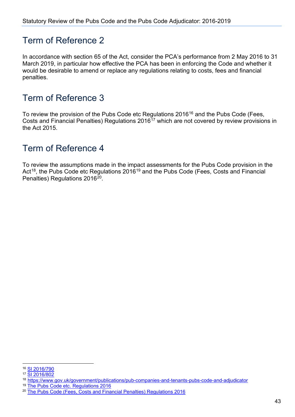### Term of Reference 2

In accordance with section 65 of the Act, consider the PCA's performance from 2 May 2016 to 31 March 2019, in particular how effective the PCA has been in enforcing the Code and whether it would be desirable to amend or replace any regulations relating to costs, fees and financial penalties.

## Term of Reference 3

To review the provision of the Pubs Code etc Regulations 20[16](#page-42-0)<sup>16</sup> and the Pubs Code (Fees, Costs and Financial Penalties) Regulations 2016<sup>[17](#page-42-1)</sup> which are not covered by review provisions in the Act 2015.

## Term of Reference 4

To review the assumptions made in the impact assessments for the Pubs Code provision in the Act<sup>[18](#page-42-2)</sup>, the Pubs Code etc Regulations 2016<sup>[19](#page-42-3)</sup> and the Pubs Code (Fees, Costs and Financial Penalties) Regulations 2016<sup>20</sup>.

<span id="page-42-0"></span><sup>16</sup> [SI 2016/790](https://www.legislation.gov.uk/uksi/2016/790/contents/made)

<span id="page-42-1"></span><sup>17</sup> [SI 2016/802](https://www.legislation.gov.uk/uksi/2016/802/contents/made)

<span id="page-42-2"></span><sup>18</sup> <https://www.gov.uk/government/publications/pub-companies-and-tenants-pubs-code-and-adjudicator>

<span id="page-42-3"></span><sup>19</sup> [The Pubs Code etc. Regulations 2016](https://www.legislation.gov.uk/ukdsi/2016/9780111146330/impacts)

<span id="page-42-4"></span><sup>&</sup>lt;sup>20</sup> [The Pubs Code \(Fees, Costs and Financial Penalties\) Regulations 2016](https://www.legislation.gov.uk/ukdsi/2016/9780111146323/impacts)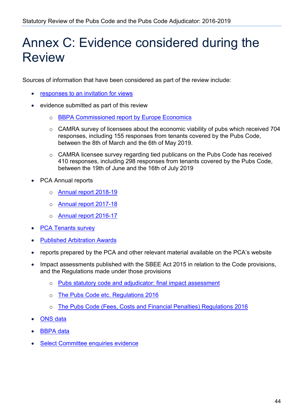## <span id="page-43-0"></span>Annex C: Evidence considered during the Review

Sources of information that have been considered as part of the review include:

- [responses to an invitation for views](https://www.gov.uk/government/consultations/pubs-code-and-pubs-code-adjudicator-statutory-review)
- evidence submitted as part of this review
	- o [BBPA Commissioned report by Europe Economics](https://beerandpub.com/briefings/europeeconomics/)
	- $\circ$  CAMRA survey of licensees about the economic viability of pubs which received 704 responses, including 155 responses from tenants covered by the Pubs Code, between the 8th of March and the 6th of May 2019.
	- o CAMRA licensee survey regarding tied publicans on the Pubs Code has received 410 responses, including 298 responses from tenants covered by the Pubs Code, between the 19th of June and the 16th of July 2019
- PCA Annual reports
	- o [Annual report 2018-19](https://www.gov.uk/government/publications/pca-annual-report-and-accounts-01-april-2018-to-31-march-2019)
	- o Annual [report 2017-18](https://www.gov.uk/government/publications/pca-annual-report-and-accounts-01-april-2017-to-31-march-2018)
	- o [Annual report 2016-17](https://www.gov.uk/government/publications/pca-annual-report-and-financial-statements-for-20162017)
- [PCA Tenants survey](https://www.gov.uk/government/publications/the-pubs-code-adjudicator-pca-tied-tenant-survey-2019)
- **[Published Arbitration Awards](https://www.gov.uk/government/publications/pubs-code-adjudicator-published-arbitration-awards/pubs-code-adjudicator-published-arbitration-awards)**
- reports prepared by the PCA and other relevant material available on the PCA's website
- Impact assessments published with the SBEE Act 2015 in relation to the Code provisions, and the Regulations made under those provisions
	- o [Pubs statutory code and adjudicator: final impact assessment](https://www.gov.uk/government/publications/pub-companies-and-tenants-pubs-code-and-adjudicator)
	- o [The Pubs Code etc. Regulations 2016](https://www.legislation.gov.uk/ukdsi/2016/9780111146330/impacts)
	- o [The Pubs Code \(Fees, Costs and Financial Penalties\) Regulations 2016](https://www.legislation.gov.uk/ukdsi/2016/9780111146323/impacts)
- [ONS data](https://www.ons.gov.uk/releases/beyondthepalechangesintheukpubsandbarssector2001to2019)
- **BBPA** data
- **[Select Committee enquiries evidence](http://data.parliament.uk/writtenevidence/committeeevidence.svc/evidencedocument/business-energy-and-industrial-strategy-committee/pubs-code-adjudicator-update/oral/86102.html)**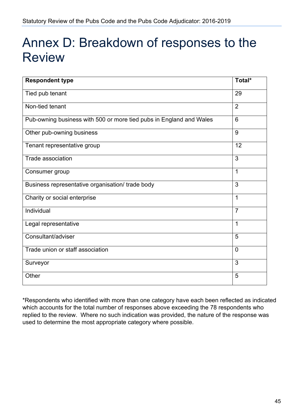## <span id="page-44-0"></span>Annex D: Breakdown of responses to the Review

| <b>Respondent type</b>                                              | Total*         |
|---------------------------------------------------------------------|----------------|
| Tied pub tenant                                                     | 29             |
| Non-tied tenant                                                     | $\overline{2}$ |
| Pub-owning business with 500 or more tied pubs in England and Wales | $6\phantom{1}$ |
| Other pub-owning business                                           | 9              |
| Tenant representative group                                         | 12             |
| Trade association                                                   | 3              |
| Consumer group                                                      | 1              |
| Business representative organisation/ trade body                    | 3              |
| Charity or social enterprise                                        | $\mathbf{1}$   |
| Individual                                                          | $\overline{7}$ |
| Legal representative                                                | $\overline{1}$ |
| Consultant/adviser                                                  | 5              |
| Trade union or staff association                                    | $\overline{0}$ |
| Surveyor                                                            | 3              |
| Other                                                               | 5              |

\*Respondents who identified with more than one category have each been reflected as indicated which accounts for the total number of responses above exceeding the 78 respondents who replied to the review. Where no such indication was provided, the nature of the response was used to determine the most appropriate category where possible.